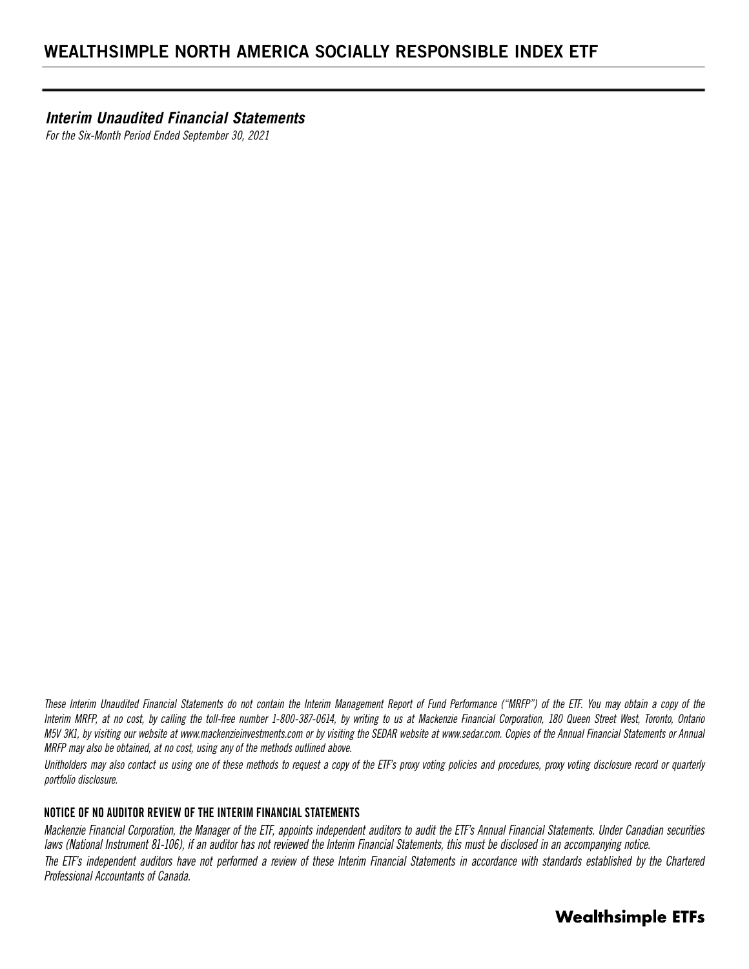*Interim Unaudited Financial Statements*

*For the Six-Month Period Ended September 30, 2021*

*These Interim Unaudited Financial Statements do not contain the Interim Management Report of Fund Performance ("MRFP") of the ETF. You may obtain a copy of the Interim MRFP, at no cost, by calling the toll-free number 1-800-387-0614, by writing to us at Mackenzie Financial Corporation, 180 Queen Street West, Toronto, Ontario M5V 3K1, by visiting our website at www.mackenzieinvestments.com or by visiting the SEDAR website at www.sedar.com. Copies of the Annual Financial Statements or Annual MRFP may also be obtained, at no cost, using any of the methods outlined above.* 

*Unitholders may also contact us using one of these methods to request a copy of the ETF's proxy voting policies and procedures, proxy voting disclosure record or quarterly portfolio disclosure.*

### **NOTICE OF NO AUDITOR REVIEW OF THE INTERIM FINANCIAL STATEMENTS**

*Mackenzie Financial Corporation, the Manager of the ETF, appoints independent auditors to audit the ETF's Annual Financial Statements. Under Canadian securities laws (National Instrument 81-106), if an auditor has not reviewed the Interim Financial Statements, this must be disclosed in an accompanying notice.* The ETF's independent auditors have not performed a review of these Interim Financial Statements in accordance with standards established by the Chartered *Professional Accountants of Canada.*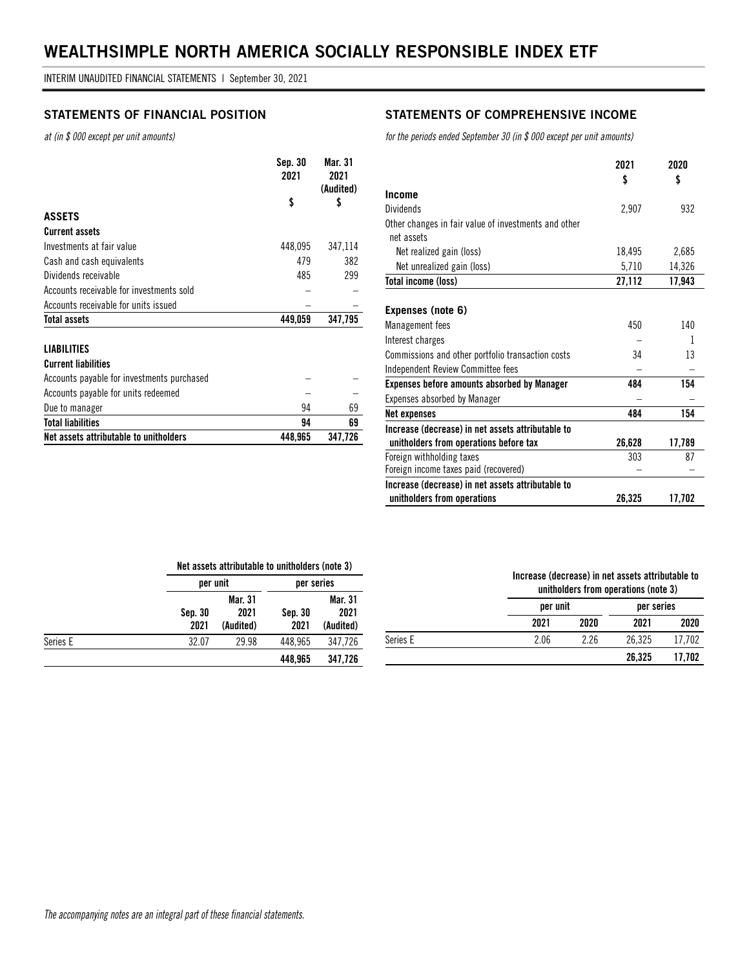*at (in \$ 000 except per unit amounts)*

|                                            | Sep. 30<br>2021 | Mar. 31<br>2021<br>(Audited) |
|--------------------------------------------|-----------------|------------------------------|
|                                            | \$              | \$                           |
| <b>ASSETS</b>                              |                 |                              |
| <b>Current assets</b>                      |                 |                              |
| Investments at fair value                  | 448,095         | 347,114                      |
| Cash and cash equivalents                  | 479             | 382                          |
| Dividends receivable                       | 485             | 299                          |
| Accounts receivable for investments sold   |                 |                              |
| Accounts receivable for units issued       |                 |                              |
| <b>Total assets</b>                        | 449.059         | 347.795                      |
| <b>LIABILITIES</b>                         |                 |                              |
| <b>Current liabilities</b>                 |                 |                              |
| Accounts payable for investments purchased |                 |                              |

Accounts payable for units redeemed  $-$ Due to manager 69 **Total liabilities 94 69 Net assets attributable to unitholders 448,965 347,726** 

### **STATEMENTS OF FINANCIAL POSITION STATEMENTS OF COMPREHENSIVE INCOME**

*for the periods ended September 30 (in \$ 000 except per unit amounts)*

|                                                                                             | 2021<br>\$ | 2020<br>\$ |
|---------------------------------------------------------------------------------------------|------------|------------|
| Income                                                                                      |            |            |
| <b>Dividends</b>                                                                            | 2,907      | 932        |
| Other changes in fair value of investments and other<br>net assets                          |            |            |
| Net realized gain (loss)                                                                    | 18,495     | 2,685      |
| Net unrealized gain (loss)                                                                  | 5,710      | 14,326     |
| <b>Total income (loss)</b>                                                                  | 27,112     | 17,943     |
| Expenses (note 6)                                                                           |            |            |
| <b>Management</b> fees                                                                      | 450        | 140        |
| Interest charges                                                                            |            | 1          |
| Commissions and other portfolio transaction costs                                           | 34         | 13         |
| Independent Review Committee fees                                                           |            |            |
| <b>Expenses before amounts absorbed by Manager</b>                                          | 484        | 154        |
| <b>Expenses absorbed by Manager</b>                                                         |            |            |
| Net expenses                                                                                | 484        | 154        |
| Increase (decrease) in net assets attributable to<br>unitholders from operations before tax | 26,628     | 17,789     |
| Foreign withholding taxes                                                                   | 303        | 87         |
| Foreign income taxes paid (recovered)                                                       |            |            |
| Increase (decrease) in net assets attributable to                                           |            |            |
| unitholders from operations                                                                 | 26,325     | 17,702     |

#### **Net assets attributable to unitholders (note 3)**

|          |                 | per unit                     |                 | per series                   |
|----------|-----------------|------------------------------|-----------------|------------------------------|
|          | Sep. 30<br>2021 | Mar. 31<br>2021<br>(Audited) | Sep. 30<br>2021 | Mar. 31<br>2021<br>(Audited) |
| Series E | 32.07           | 29.98                        | 448.965         | 347.726                      |
|          |                 |                              | 448,965         | 347,726                      |

### **Increase (decrease) in net assets attributable to unitholders from operations (note 3) per unit per series**

|          | 2021 | 2020 | 2021   | 2020   |
|----------|------|------|--------|--------|
| Series E | 2.06 | 2.26 | 26.325 | .702   |
|          |      |      | 26,325 | 17,702 |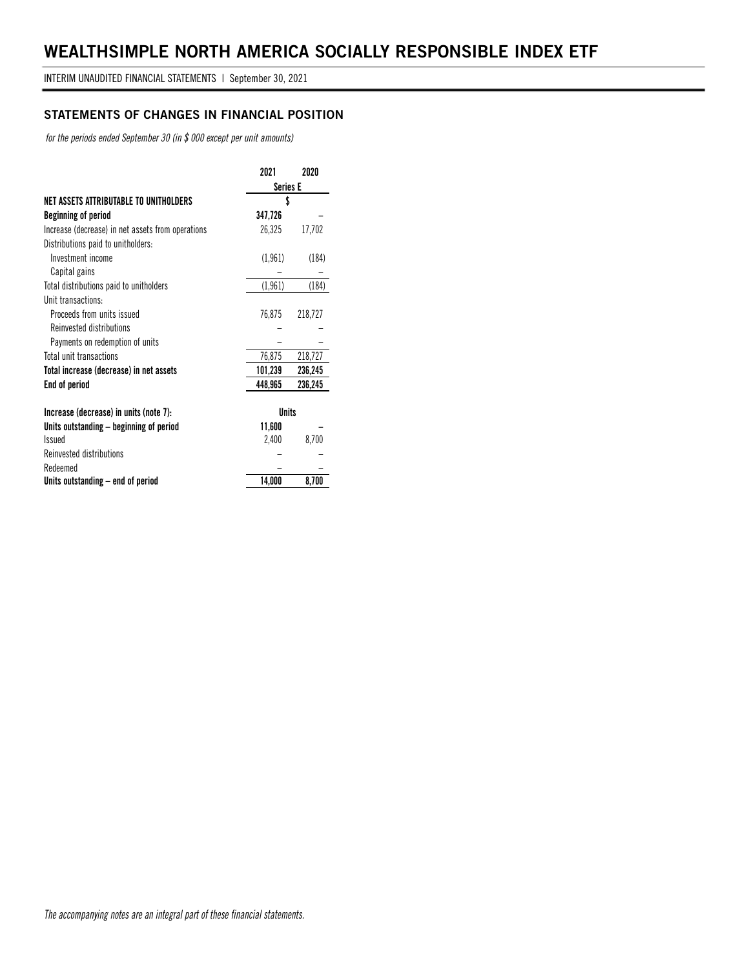### **STATEMENTS OF CHANGES IN FINANCIAL POSITION**

*for the periods ended September 30 (in \$ 000 except per unit amounts)*

|                                                   | 2021            | 2020    |
|---------------------------------------------------|-----------------|---------|
|                                                   | <b>Series E</b> |         |
| NET ASSETS ATTRIBUTABLE TO UNITHOLDERS            | \$              |         |
| Beginning of period                               | 347,726         |         |
| Increase (decrease) in net assets from operations | 26,325          | 17,702  |
| Distributions paid to unitholders:                |                 |         |
| Investment income                                 | (1, 961)        | (184)   |
| Capital gains                                     |                 |         |
| Total distributions paid to unitholders           | (1, 961)        | (184)   |
| Unit transactions:                                |                 |         |
| Proceeds from units issued                        | 76,875          | 218,727 |
| Reinvested distributions                          |                 |         |
| Payments on redemption of units                   |                 |         |
| Total unit transactions                           | 76,875          | 218,727 |
| Total increase (decrease) in net assets           | 101,239         | 236,245 |
| End of period                                     | 448,965         | 236,245 |
|                                                   |                 |         |
| Increase (decrease) in units (note 7):            | <b>Units</b>    |         |
| Units outstanding – beginning of period           | 11,600          |         |
| <b>Issued</b>                                     | 2,400           | 8,700   |
| Reinvested distributions                          |                 |         |
| Redeemed                                          |                 |         |
| Units outstanding – end of period                 | 14,000          | 8,700   |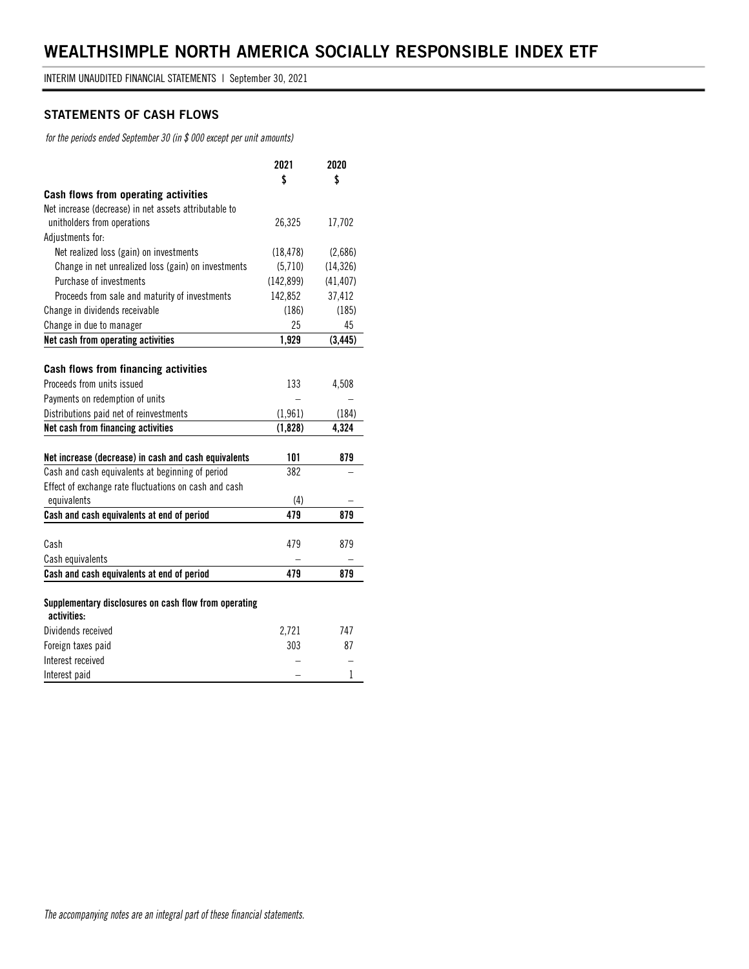#### **STATEMENTS OF CASH FLOWS**

*for the periods ended September 30 (in \$ 000 except per unit amounts)*

|                                                                      | 2021       | 2020         |
|----------------------------------------------------------------------|------------|--------------|
|                                                                      | \$         | \$           |
| Cash flows from operating activities                                 |            |              |
| Net increase (decrease) in net assets attributable to                |            |              |
| unitholders from operations                                          | 26,325     | 17,702       |
| Adjustments for:                                                     |            |              |
| Net realized loss (gain) on investments                              | (18, 478)  | (2,686)      |
| Change in net unrealized loss (gain) on investments                  | (5,710)    | (14, 326)    |
| Purchase of investments                                              | (142, 899) | (41, 407)    |
| Proceeds from sale and maturity of investments                       | 142,852    | 37,412       |
| Change in dividends receivable                                       | (186)      | (185)        |
| Change in due to manager                                             | 25         | 45           |
| Net cash from operating activities                                   | 1,929      | (3, 445)     |
|                                                                      |            |              |
| Cash flows from financing activities                                 |            |              |
| Proceeds from units issued                                           | 133        | 4,508        |
| Payments on redemption of units                                      |            |              |
| Distributions paid net of reinvestments                              | (1, 961)   | (184)        |
| Net cash from financing activities                                   | (1,828)    | 4,324        |
|                                                                      |            |              |
| Net increase (decrease) in cash and cash equivalents                 | 101        | 879          |
| Cash and cash equivalents at beginning of period                     | 382        |              |
| Effect of exchange rate fluctuations on cash and cash                |            |              |
| equivalents                                                          | (4)        |              |
| Cash and cash equivalents at end of period                           | 479        | 879          |
|                                                                      |            |              |
| Cash                                                                 | 479        | 879          |
| Cash equivalents                                                     |            |              |
| Cash and cash equivalents at end of period                           | 479        | 879          |
|                                                                      |            |              |
| Supplementary disclosures on cash flow from operating<br>activities: |            |              |
| Dividends received                                                   | 2,721      | 747          |
| Foreign taxes paid                                                   | 303        | 87           |
| Interest received                                                    |            |              |
| Interest paid                                                        |            | $\mathbf{1}$ |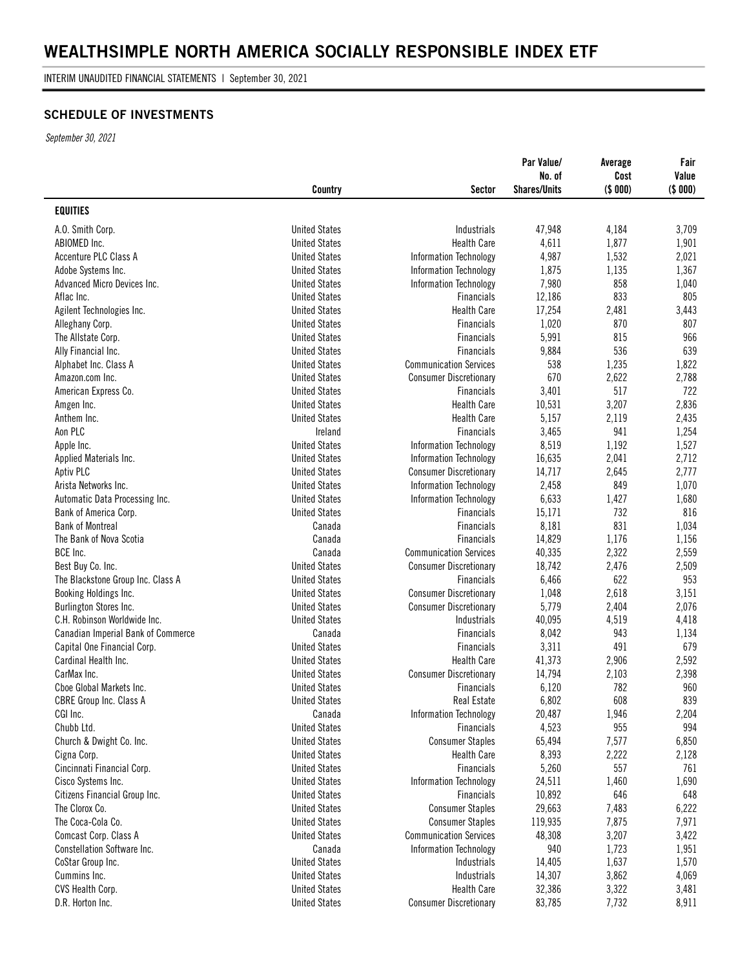INTERIM UNAUDITED FINANCIAL STATEMENTS | September 30, 2021

### **SCHEDULE OF INVESTMENTS**

*September 30, 2021*

|                                           | Country              | Sector                        | Par Value/<br>No. of<br><b>Shares/Units</b> | Average<br>Cost<br>(\$000) | Fair<br>Value<br>(\$000) |
|-------------------------------------------|----------------------|-------------------------------|---------------------------------------------|----------------------------|--------------------------|
| <b>EQUITIES</b>                           |                      |                               |                                             |                            |                          |
| A.O. Smith Corp.                          | <b>United States</b> | Industrials                   | 47,948                                      | 4,184                      | 3,709                    |
| ABIOMED Inc.                              | <b>United States</b> | <b>Health Care</b>            | 4,611                                       | 1,877                      | 1,901                    |
| Accenture PLC Class A                     | <b>United States</b> | <b>Information Technology</b> | 4,987                                       | 1,532                      | 2,021                    |
| Adobe Systems Inc.                        | <b>United States</b> | <b>Information Technology</b> | 1,875                                       | 1,135                      | 1,367                    |
| Advanced Micro Devices Inc.               | <b>United States</b> | Information Technology        | 7,980                                       | 858                        | 1,040                    |
| Aflac Inc.                                | <b>United States</b> | <b>Financials</b>             | 12,186                                      | 833                        | 805                      |
| Agilent Technologies Inc.                 | <b>United States</b> | <b>Health Care</b>            | 17,254                                      | 2,481                      | 3,443                    |
| Alleghany Corp.                           | <b>United States</b> | Financials                    | 1,020                                       | 870                        | 807                      |
| The Allstate Corp.                        | <b>United States</b> | <b>Financials</b>             | 5,991                                       | 815                        | 966                      |
| Ally Financial Inc.                       | <b>United States</b> | <b>Financials</b>             | 9,884                                       | 536                        | 639                      |
| Alphabet Inc. Class A                     | <b>United States</b> | <b>Communication Services</b> | 538                                         | 1,235                      | 1,822                    |
| Amazon.com Inc.                           | <b>United States</b> | <b>Consumer Discretionary</b> | 670                                         | 2,622                      | 2,788                    |
| American Express Co.                      | <b>United States</b> | <b>Financials</b>             | 3,401                                       | 517                        | 722                      |
| Amgen Inc.                                | <b>United States</b> | <b>Health Care</b>            | 10,531                                      | 3,207                      | 2,836                    |
| Anthem Inc.                               | <b>United States</b> | <b>Health Care</b>            | 5,157                                       | 2,119                      | 2,435                    |
| Aon PLC                                   | Ireland              | <b>Financials</b>             | 3,465                                       | 941                        | 1,254                    |
| Apple Inc.                                | <b>United States</b> | Information Technology        | 8,519                                       | 1,192                      | 1,527                    |
| Applied Materials Inc.                    | <b>United States</b> | <b>Information Technology</b> | 16,635                                      | 2,041                      | 2,712                    |
| Aptiv PLC                                 | <b>United States</b> | <b>Consumer Discretionary</b> | 14,717                                      | 2,645                      | 2,777                    |
| Arista Networks Inc.                      | <b>United States</b> | Information Technology        | 2,458                                       | 849                        | 1,070                    |
| Automatic Data Processing Inc.            | <b>United States</b> | Information Technology        | 6,633                                       | 1,427                      | 1,680                    |
| Bank of America Corp.                     | <b>United States</b> | <b>Financials</b>             | 15,171                                      | 732                        | 816                      |
| <b>Bank of Montreal</b>                   | Canada               | <b>Financials</b>             | 8,181                                       | 831                        | 1,034                    |
| The Bank of Nova Scotia                   | Canada               | <b>Financials</b>             | 14,829                                      | 1,176                      | 1,156                    |
| BCE Inc.                                  | Canada               | <b>Communication Services</b> | 40,335                                      | 2,322                      | 2,559                    |
| Best Buy Co. Inc.                         | <b>United States</b> | <b>Consumer Discretionary</b> | 18,742                                      | 2,476                      | 2,509                    |
| The Blackstone Group Inc. Class A         | <b>United States</b> | <b>Financials</b>             | 6,466                                       | 622                        | 953                      |
| Booking Holdings Inc.                     | <b>United States</b> | <b>Consumer Discretionary</b> | 1,048                                       | 2,618                      | 3,151                    |
| Burlington Stores Inc.                    | <b>United States</b> | <b>Consumer Discretionary</b> | 5,779                                       | 2,404                      | 2,076                    |
| C.H. Robinson Worldwide Inc.              | <b>United States</b> | Industrials                   | 40,095                                      | 4,519                      | 4,418                    |
| <b>Canadian Imperial Bank of Commerce</b> | Canada               | Financials                    | 8,042                                       | 943                        | 1,134                    |
| Capital One Financial Corp.               | <b>United States</b> | Financials                    | 3,311                                       | 491                        | 679                      |
| Cardinal Health Inc.                      | <b>United States</b> | <b>Health Care</b>            | 41,373                                      | 2,906                      | 2,592                    |
| CarMax Inc.                               | <b>United States</b> | <b>Consumer Discretionary</b> | 14,794                                      | 2,103                      | 2,398                    |
| Choe Global Markets Inc.                  | <b>United States</b> | <b>Financials</b>             | 6,120                                       | 782                        | 960                      |
| <b>CBRE Group Inc. Class A</b>            | <b>United States</b> | Real Estate                   | 6,802                                       | 608                        | 839                      |
| CGI Inc.                                  | Canada               | <b>Information Technology</b> | 20,487                                      | 1,946                      | 2,204                    |
| Chubb Ltd.                                | <b>United States</b> | <b>Financials</b>             | 4,523                                       | 955                        | 994                      |
| Church & Dwight Co. Inc.                  | <b>United States</b> | <b>Consumer Staples</b>       | 65,494                                      | 7,577                      | 6,850                    |
| Cigna Corp.                               | <b>United States</b> | <b>Health Care</b>            | 8,393                                       | 2,222                      | 2,128                    |
| Cincinnati Financial Corp.                | <b>United States</b> | Financials                    | 5,260                                       | 557                        | 761                      |
| Cisco Systems Inc.                        | <b>United States</b> | Information Technology        | 24,511                                      | 1,460                      | 1,690                    |
| Citizens Financial Group Inc.             | <b>United States</b> | Financials                    | 10,892                                      | 646                        | 648                      |
| The Clorox Co.                            | <b>United States</b> | <b>Consumer Staples</b>       | 29,663                                      | 7,483                      | 6,222                    |
| The Coca-Cola Co.                         | <b>United States</b> | <b>Consumer Staples</b>       | 119,935                                     | 7,875                      | 7,971                    |
| Comcast Corp. Class A                     | <b>United States</b> | <b>Communication Services</b> | 48,308                                      | 3,207                      | 3,422                    |
| Constellation Software Inc.               | Canada               | Information Technology        | 940                                         | 1,723                      | 1,951                    |
| CoStar Group Inc.                         | <b>United States</b> | Industrials                   | 14,405                                      | 1,637                      | 1,570                    |
| Cummins Inc.                              | <b>United States</b> | Industrials                   | 14,307                                      | 3,862                      | 4,069                    |
| CVS Health Corp.                          | <b>United States</b> | <b>Health Care</b>            | 32,386                                      | 3,322                      | 3,481                    |
| D.R. Horton Inc.                          | <b>United States</b> | <b>Consumer Discretionary</b> | 83,785                                      | 7,732                      | 8,911                    |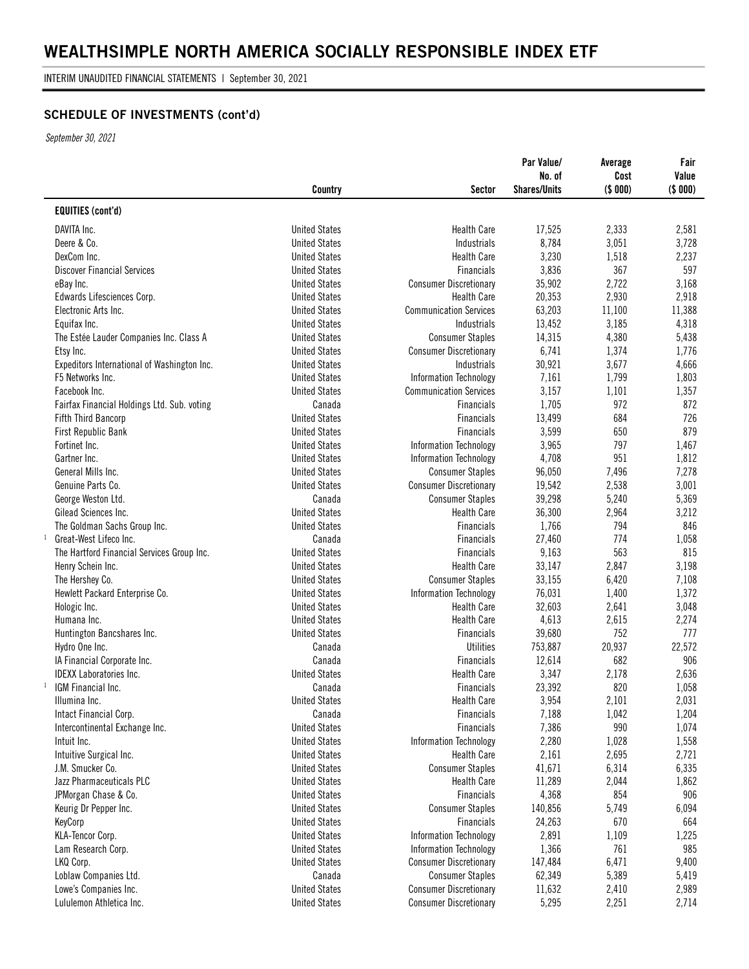INTERIM UNAUDITED FINANCIAL STATEMENTS | September 30, 2021

### **SCHEDULE OF INVESTMENTS (cont'd)**

*September 30, 2021*

|                                             | Country              | Sector                        | Par Value/<br>No. of<br><b>Shares/Units</b> | Average<br>Cost<br>(\$ 000) | Fair<br>Value<br>(\$ 000) |
|---------------------------------------------|----------------------|-------------------------------|---------------------------------------------|-----------------------------|---------------------------|
| <b>EQUITIES (cont'd)</b>                    |                      |                               |                                             |                             |                           |
| DAVITA Inc.                                 | <b>United States</b> | <b>Health Care</b>            | 17,525                                      | 2,333                       | 2,581                     |
| Deere & Co.                                 | <b>United States</b> | Industrials                   | 8,784                                       | 3,051                       | 3,728                     |
| DexCom Inc.                                 | <b>United States</b> | <b>Health Care</b>            | 3,230                                       | 1,518                       | 2,237                     |
| <b>Discover Financial Services</b>          | <b>United States</b> | <b>Financials</b>             | 3,836                                       | 367                         | 597                       |
| eBay Inc.                                   | <b>United States</b> | <b>Consumer Discretionary</b> | 35,902                                      | 2,722                       | 3,168                     |
| Edwards Lifesciences Corp.                  | <b>United States</b> | <b>Health Care</b>            | 20,353                                      | 2,930                       | 2,918                     |
| Electronic Arts Inc.                        | <b>United States</b> | <b>Communication Services</b> | 63,203                                      | 11,100                      | 11,388                    |
| Equifax Inc.                                | <b>United States</b> | Industrials                   | 13,452                                      | 3,185                       | 4,318                     |
| The Estée Lauder Companies Inc. Class A     | <b>United States</b> | <b>Consumer Staples</b>       | 14,315                                      | 4,380                       | 5,438                     |
| Etsy Inc.                                   | <b>United States</b> | <b>Consumer Discretionary</b> | 6,741                                       | 1,374                       | 1,776                     |
| Expeditors International of Washington Inc. | <b>United States</b> | Industrials                   | 30,921                                      | 3,677                       | 4,666                     |
| F5 Networks Inc.                            | <b>United States</b> | Information Technology        | 7,161                                       | 1,799                       | 1,803                     |
| Facebook Inc.                               | <b>United States</b> | <b>Communication Services</b> | 3,157                                       | 1,101                       | 1,357                     |
| Fairfax Financial Holdings Ltd. Sub. voting | Canada               | <b>Financials</b>             | 1,705                                       | 972                         | 872                       |
| <b>Fifth Third Bancorp</b>                  | <b>United States</b> | <b>Financials</b>             | 13,499                                      | 684                         | 726                       |
| First Republic Bank                         | <b>United States</b> | <b>Financials</b>             | 3,599                                       | 650                         | 879                       |
| Fortinet Inc.                               | <b>United States</b> | Information Technology        | 3,965                                       | 797                         | 1,467                     |
| Gartner Inc.                                | <b>United States</b> | Information Technology        | 4,708                                       | 951                         | 1,812                     |
| General Mills Inc.                          | <b>United States</b> | <b>Consumer Staples</b>       | 96,050                                      | 7,496                       | 7,278                     |
| Genuine Parts Co.                           | <b>United States</b> | <b>Consumer Discretionary</b> | 19,542                                      | 2,538                       | 3,001                     |
| George Weston Ltd.                          | Canada               | <b>Consumer Staples</b>       | 39,298                                      | 5,240                       | 5,369                     |
| Gilead Sciences Inc.                        | <b>United States</b> | <b>Health Care</b>            | 36,300                                      | 2,964                       | 3,212                     |
| The Goldman Sachs Group Inc.                | <b>United States</b> | Financials                    | 1,766                                       | 794                         | 846                       |
| $\mathbf{1}$<br>Great-West Lifeco Inc.      | Canada               | <b>Financials</b>             | 27,460                                      | 774                         | 1,058                     |
| The Hartford Financial Services Group Inc.  | <b>United States</b> | Financials                    | 9,163                                       | 563                         | 815                       |
| Henry Schein Inc.                           | <b>United States</b> | <b>Health Care</b>            | 33,147                                      | 2,847                       | 3,198                     |
| The Hershey Co.                             | <b>United States</b> | <b>Consumer Staples</b>       | 33,155                                      | 6,420                       | 7,108                     |
| Hewlett Packard Enterprise Co.              | <b>United States</b> | Information Technology        | 76,031                                      | 1,400                       | 1,372                     |
| Hologic Inc.                                | <b>United States</b> | <b>Health Care</b>            | 32,603                                      | 2,641                       | 3,048                     |
| Humana Inc.                                 | <b>United States</b> | <b>Health Care</b>            | 4,613                                       | 2,615                       | 2,274                     |
| Huntington Bancshares Inc.                  | <b>United States</b> | <b>Financials</b>             | 39,680                                      | 752                         | 777                       |
| Hydro One Inc.                              | Canada               | <b>Utilities</b>              | 753,887                                     | 20,937                      | 22,572                    |
| IA Financial Corporate Inc.                 | Canada               | <b>Financials</b>             | 12,614                                      | 682                         | 906                       |
| <b>IDEXX Laboratories Inc.</b>              | <b>United States</b> | <b>Health Care</b>            | 3,347                                       | 2,178                       | 2,636                     |
| $\mathbf{1}$<br>IGM Financial Inc.          | Canada               | Financials                    | 23,392                                      | 820                         | 1,058                     |
| Illumina Inc.                               | <b>United States</b> | <b>Health Care</b>            | 3,954                                       | 2,101                       | 2,031                     |
| Intact Financial Corp.                      | Canada               | <b>Financials</b>             | 7,188                                       | 1,042                       | 1,204                     |
| Intercontinental Exchange Inc.              | <b>United States</b> | Financials                    | 7,386                                       | 990                         | 1,074                     |
| Intuit Inc.                                 | <b>United States</b> | <b>Information Technology</b> | 2,280                                       | 1,028                       | 1,558                     |
| Intuitive Surgical Inc.                     | <b>United States</b> | <b>Health Care</b>            | 2,161                                       | 2,695                       | 2,721                     |
| J.M. Smucker Co.                            | <b>United States</b> | <b>Consumer Staples</b>       | 41,671                                      | 6,314                       | 6,335                     |
| Jazz Pharmaceuticals PLC                    | <b>United States</b> | <b>Health Care</b>            | 11,289                                      | 2,044                       | 1,862                     |
| JPMorgan Chase & Co.                        | <b>United States</b> | Financials                    | 4,368                                       | 854                         | 906                       |
| Keurig Dr Pepper Inc.                       | <b>United States</b> | <b>Consumer Staples</b>       | 140,856                                     | 5,749                       | 6,094                     |
| KeyCorp                                     | <b>United States</b> | Financials                    | 24,263                                      | 670                         | 664                       |
| KLA-Tencor Corp.                            | <b>United States</b> | Information Technology        | 2,891                                       | 1,109                       | 1,225                     |
| Lam Research Corp.                          | <b>United States</b> | <b>Information Technology</b> | 1,366                                       | 761                         | 985                       |
| LKQ Corp.                                   | <b>United States</b> | <b>Consumer Discretionary</b> | 147,484                                     | 6,471                       | 9,400                     |
| Loblaw Companies Ltd.                       | Canada               | <b>Consumer Staples</b>       | 62,349                                      | 5,389                       | 5,419                     |
| Lowe's Companies Inc.                       | <b>United States</b> | <b>Consumer Discretionary</b> | 11,632                                      | 2,410                       | 2,989                     |
| Lululemon Athletica Inc.                    | <b>United States</b> | <b>Consumer Discretionary</b> | 5,295                                       | 2,251                       | 2,714                     |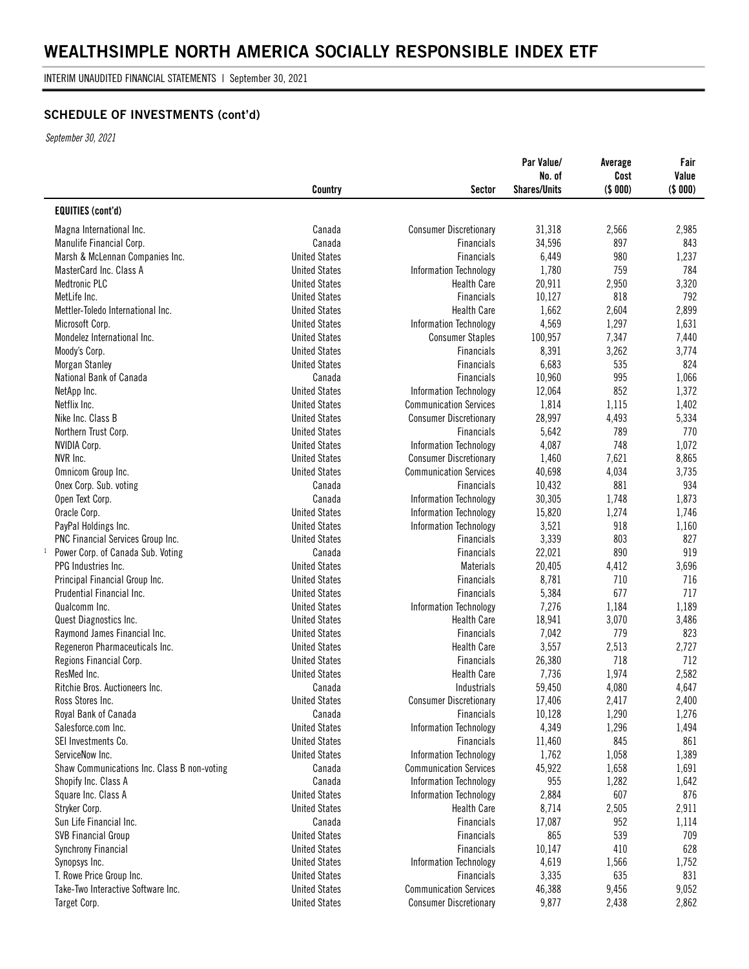INTERIM UNAUDITED FINANCIAL STATEMENTS | September 30, 2021

### **SCHEDULE OF INVESTMENTS (cont'd)**

*September 30, 2021*

|                                                   | Country              | Sector                               | Par Value/<br>No. of<br><b>Shares/Units</b> | Average<br>Cost<br>(\$000) | Fair<br>Value<br>(\$ 000) |
|---------------------------------------------------|----------------------|--------------------------------------|---------------------------------------------|----------------------------|---------------------------|
| <b>EQUITIES (cont'd)</b>                          |                      |                                      |                                             |                            |                           |
| Magna International Inc.                          | Canada               | <b>Consumer Discretionary</b>        | 31,318                                      | 2,566                      | 2,985                     |
| Manulife Financial Corp.                          | Canada               | <b>Financials</b>                    | 34,596                                      | 897                        | 843                       |
| Marsh & McLennan Companies Inc.                   | <b>United States</b> | <b>Financials</b>                    | 6,449                                       | 980                        | 1,237                     |
| MasterCard Inc. Class A                           | <b>United States</b> | Information Technology               | 1,780                                       | 759                        | 784                       |
| <b>Medtronic PLC</b>                              | <b>United States</b> | <b>Health Care</b>                   | 20,911                                      | 2,950                      | 3,320                     |
| MetLife Inc.                                      | <b>United States</b> | <b>Financials</b>                    | 10,127                                      | 818                        | 792                       |
| Mettler-Toledo International Inc.                 | <b>United States</b> | <b>Health Care</b>                   | 1,662                                       | 2,604                      | 2,899                     |
| Microsoft Corp.                                   | <b>United States</b> | Information Technology               | 4,569                                       | 1,297                      | 1,631                     |
| Mondelez International Inc.                       | <b>United States</b> | <b>Consumer Staples</b>              | 100,957                                     | 7,347                      | 7,440                     |
| Moody's Corp.                                     | <b>United States</b> | <b>Financials</b>                    | 8,391                                       | 3,262                      | 3,774                     |
| <b>Morgan Stanley</b>                             | <b>United States</b> | <b>Financials</b>                    | 6,683                                       | 535                        | 824                       |
| National Bank of Canada                           | Canada               | <b>Financials</b>                    | 10,960                                      | 995                        | 1,066                     |
| NetApp Inc.                                       | <b>United States</b> | Information Technology               | 12,064                                      | 852                        | 1,372                     |
| Netflix Inc.                                      | <b>United States</b> | <b>Communication Services</b>        | 1,814                                       | 1,115                      | 1,402                     |
| Nike Inc. Class B                                 | <b>United States</b> | <b>Consumer Discretionary</b>        | 28,997                                      | 4,493                      | 5,334                     |
| Northern Trust Corp.                              | <b>United States</b> | <b>Financials</b>                    | 5,642                                       | 789                        | 770                       |
| <b>NVIDIA Corp.</b>                               | <b>United States</b> | Information Technology               | 4,087                                       | 748                        | 1,072                     |
| NVR Inc.                                          | <b>United States</b> | <b>Consumer Discretionary</b>        | 1,460                                       | 7,621                      | 8,865                     |
| Omnicom Group Inc.                                | <b>United States</b> | <b>Communication Services</b>        | 40,698                                      | 4,034                      | 3,735                     |
| Onex Corp. Sub. voting                            | Canada               | <b>Financials</b>                    | 10,432                                      | 881                        | 934                       |
| Open Text Corp.                                   | Canada               | Information Technology               | 30,305                                      | 1,748                      | 1,873                     |
| Oracle Corp.                                      | <b>United States</b> | Information Technology               | 15,820                                      | 1,274                      | 1,746                     |
| PayPal Holdings Inc.                              | <b>United States</b> | Information Technology               | 3,521                                       | 918                        | 1,160                     |
| PNC Financial Services Group Inc.                 | <b>United States</b> | <b>Financials</b>                    | 3,339                                       | 803                        | 827                       |
| Power Corp. of Canada Sub. Voting<br>$\mathbf{I}$ | Canada               | <b>Financials</b>                    | 22,021                                      | 890                        | 919                       |
| PPG Industries Inc.                               | <b>United States</b> | <b>Materials</b>                     | 20,405                                      | 4,412                      | 3,696                     |
| Principal Financial Group Inc.                    | <b>United States</b> | <b>Financials</b>                    | 8,781                                       | 710                        | 716                       |
| Prudential Financial Inc.                         | <b>United States</b> | <b>Financials</b>                    | 5,384                                       | 677                        | 717                       |
| Qualcomm Inc.                                     | <b>United States</b> | Information Technology               | 7,276                                       | 1,184                      | 1,189                     |
| Quest Diagnostics Inc.                            | <b>United States</b> | <b>Health Care</b>                   | 18,941                                      | 3,070                      | 3,486                     |
| Raymond James Financial Inc.                      | <b>United States</b> | <b>Financials</b>                    | 7,042                                       | 779                        | 823                       |
| Regeneron Pharmaceuticals Inc.                    | <b>United States</b> | <b>Health Care</b>                   | 3,557                                       | 2,513                      | 2,727                     |
| Regions Financial Corp.                           | <b>United States</b> | <b>Financials</b>                    | 26,380                                      | 718                        | 712                       |
| ResMed Inc.                                       | <b>United States</b> | <b>Health Care</b>                   | 7,736                                       | 1,974                      | 2,582                     |
| Ritchie Bros. Auctioneers Inc.                    | Canada               | Industrials                          | 59,450                                      | 4,080                      | 4,647                     |
|                                                   | <b>United States</b> | <b>Consumer Discretionary</b>        | 17,406                                      | 2,417                      | 2,400                     |
| Ross Stores Inc.<br>Royal Bank of Canada          | Canada               |                                      |                                             |                            |                           |
|                                                   | <b>United States</b> | Financials                           | 10,128<br>4,349                             | 1,290                      | 1,276                     |
| Salesforce.com Inc.<br>SEI Investments Co.        | <b>United States</b> | Information Technology               |                                             | 1,296                      | 1,494                     |
| ServiceNow Inc.                                   | <b>United States</b> | Financials<br>Information Technology | 11,460<br>1,762                             | 845                        | 861                       |
|                                                   |                      |                                      |                                             | 1,058                      | 1,389                     |
| Shaw Communications Inc. Class B non-voting       | Canada               | <b>Communication Services</b>        | 45,922<br>955                               | 1,658                      | 1,691                     |
| Shopify Inc. Class A                              | Canada               | Information Technology               |                                             | 1,282                      | 1,642                     |
| Square Inc. Class A                               | <b>United States</b> | Information Technology               | 2,884                                       | 607                        | 876                       |
| Stryker Corp.                                     | <b>United States</b> | <b>Health Care</b>                   | 8,714                                       | 2,505                      | 2,911                     |
| Sun Life Financial Inc.                           | Canada               | <b>Financials</b>                    | 17,087                                      | 952                        | 1,114                     |
| <b>SVB Financial Group</b>                        | <b>United States</b> | Financials                           | 865                                         | 539                        | 709                       |
| <b>Synchrony Financial</b>                        | <b>United States</b> | Financials                           | 10,147                                      | 410                        | 628                       |
| Synopsys Inc.                                     | <b>United States</b> | <b>Information Technology</b>        | 4,619                                       | 1,566                      | 1,752                     |
| T. Rowe Price Group Inc.                          | <b>United States</b> | Financials                           | 3,335                                       | 635                        | 831                       |
| Take-Two Interactive Software Inc.                | <b>United States</b> | <b>Communication Services</b>        | 46,388                                      | 9,456                      | 9,052                     |
| Target Corp.                                      | <b>United States</b> | <b>Consumer Discretionary</b>        | 9,877                                       | 2,438                      | 2,862                     |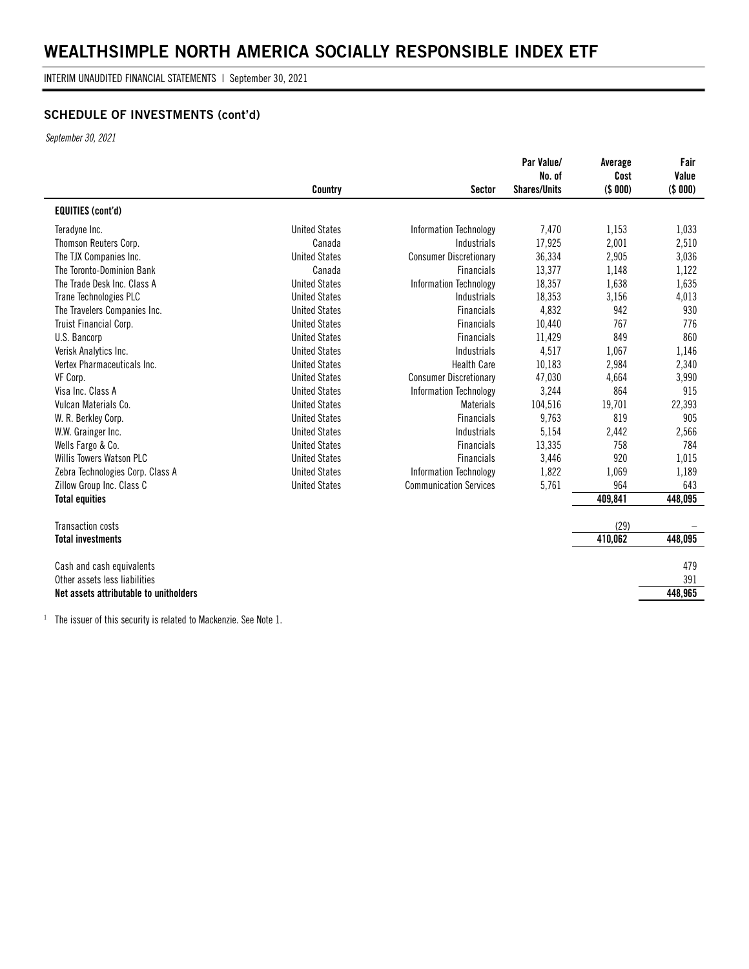INTERIM UNAUDITED FINANCIAL STATEMENTS | September 30, 2021

### **SCHEDULE OF INVESTMENTS (cont'd)**

*September 30, 2021*

|                                        | Country              | Sector                        | Par Value/<br>No. of<br><b>Shares/Units</b> | Average<br>Cost<br>(\$ 000) | Fair<br>Value<br>(\$ 000) |
|----------------------------------------|----------------------|-------------------------------|---------------------------------------------|-----------------------------|---------------------------|
| <b>EQUITIES (cont'd)</b>               |                      |                               |                                             |                             |                           |
| Teradyne Inc.                          | <b>United States</b> | Information Technology        | 7,470                                       | 1.153                       | 1,033                     |
| Thomson Reuters Corp.                  | Canada               | Industrials                   | 17,925                                      | 2,001                       | 2,510                     |
| The TJX Companies Inc.                 | <b>United States</b> | <b>Consumer Discretionary</b> | 36,334                                      | 2,905                       | 3,036                     |
| The Toronto-Dominion Bank              | Canada               | <b>Financials</b>             | 13,377                                      | 1,148                       | 1,122                     |
| The Trade Desk Inc. Class A            | <b>United States</b> | <b>Information Technology</b> | 18,357                                      | 1,638                       | 1,635                     |
| Trane Technologies PLC                 | <b>United States</b> | Industrials                   | 18,353                                      | 3,156                       | 4,013                     |
| The Travelers Companies Inc.           | <b>United States</b> | <b>Financials</b>             | 4,832                                       | 942                         | 930                       |
| Truist Financial Corp.                 | <b>United States</b> | <b>Financials</b>             | 10,440                                      | 767                         | 776                       |
| U.S. Bancorp                           | <b>United States</b> | <b>Financials</b>             | 11,429                                      | 849                         | 860                       |
| Verisk Analytics Inc.                  | <b>United States</b> | Industrials                   | 4,517                                       | 1,067                       | 1,146                     |
| Vertex Pharmaceuticals Inc.            | <b>United States</b> | <b>Health Care</b>            | 10,183                                      | 2,984                       | 2,340                     |
| VF Corp.                               | <b>United States</b> | <b>Consumer Discretionary</b> | 47,030                                      | 4,664                       | 3,990                     |
| Visa Inc. Class A                      | <b>United States</b> | Information Technology        | 3,244                                       | 864                         | 915                       |
| Vulcan Materials Co.                   | <b>United States</b> | <b>Materials</b>              | 104,516                                     | 19,701                      | 22,393                    |
| W. R. Berkley Corp.                    | <b>United States</b> | <b>Financials</b>             | 9,763                                       | 819                         | 905                       |
| W.W. Grainger Inc.                     | <b>United States</b> | <b>Industrials</b>            | 5,154                                       | 2,442                       | 2,566                     |
| Wells Fargo & Co.                      | <b>United States</b> | <b>Financials</b>             | 13,335                                      | 758                         | 784                       |
| Willis Towers Watson PLC               | <b>United States</b> | <b>Financials</b>             | 3,446                                       | 920                         | 1,015                     |
| Zebra Technologies Corp. Class A       | <b>United States</b> | Information Technology        | 1,822                                       | 1,069                       | 1,189                     |
| Zillow Group Inc. Class C              | <b>United States</b> | <b>Communication Services</b> | 5,761                                       | 964                         | 643                       |
| <b>Total equities</b>                  |                      |                               |                                             | 409,841                     | 448,095                   |
| Transaction costs                      |                      |                               |                                             | (29)                        |                           |
| <b>Total investments</b>               |                      |                               |                                             | 410,062                     | 448,095                   |
| Cash and cash equivalents              |                      |                               |                                             |                             | 479                       |
| Other assets less liabilities          |                      |                               |                                             |                             | 391                       |
| Net assets attributable to unitholders |                      |                               |                                             |                             | 448,965                   |
|                                        |                      |                               |                                             |                             |                           |

<sup>1</sup> The issuer of this security is related to Mackenzie. See Note 1.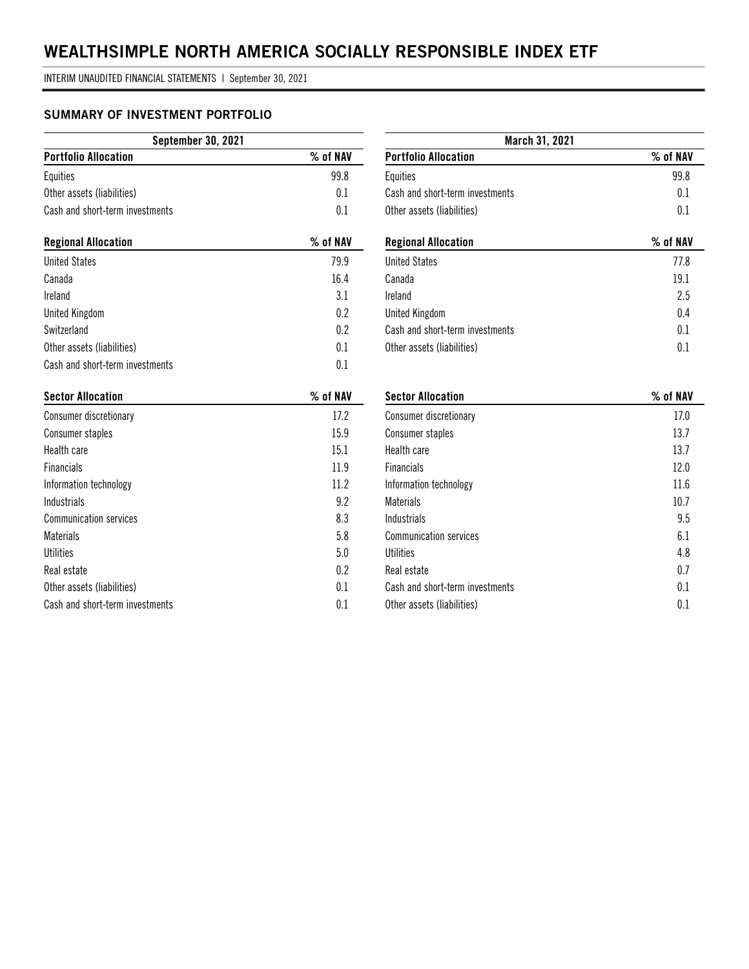INTERIM UNAUDITED FINANCIAL STATEMENTS | September 30, 2021

### **SUMMARY OF INVESTMENT PORTFOLIO**

| <b>September 30, 2021</b>       |          |  |  |  |
|---------------------------------|----------|--|--|--|
| <b>Portfolio Allocation</b>     | % of NAV |  |  |  |
| Equities                        | 99.8     |  |  |  |
| Other assets (liabilities)      | 0.1      |  |  |  |
| Cash and short-term investments | 0.1      |  |  |  |
| <b>Regional Allocation</b>      | % of NAV |  |  |  |
| <b>United States</b>            | 79.9     |  |  |  |
| Canada                          | 16.4     |  |  |  |
| Ireland                         | 3.1      |  |  |  |
| <b>United Kingdom</b>           | 0.2      |  |  |  |
| Switzerland                     | 0.2      |  |  |  |
| Other assets (liabilities)      | 0.1      |  |  |  |
| Cash and short-term investments | 0.1      |  |  |  |
| <b>Sector Allocation</b>        | % of NAV |  |  |  |
| Consumer discretionary          | 17.2     |  |  |  |
| Consumer staples                | 15.9     |  |  |  |
| Health care                     | 15.1     |  |  |  |
| <b>Financials</b>               | 11.9     |  |  |  |
| Information technology          | 11.2     |  |  |  |
| <b>Industrials</b>              | 9.2      |  |  |  |
| <b>Communication services</b>   | 8.3      |  |  |  |
| <b>Materials</b>                | 5.8      |  |  |  |
| <b>Utilities</b>                | 5.0      |  |  |  |
| Real estate                     | 0.2      |  |  |  |
| Other assets (liabilities)      | 0.1      |  |  |  |
| Cash and short-term investments | 0.1      |  |  |  |

| March 31, 2021                  |          |
|---------------------------------|----------|
| <b>Portfolio Allocation</b>     | % of NAV |
| Equities                        | 99.8     |
| Cash and short-term investments | 0.1      |
| Other assets (liabilities)      | 0.1      |
| <b>Regional Allocation</b>      | % of NAV |
| <b>United States</b>            | 77.8     |
| Canada                          | 19.1     |
| Ireland                         | 2.5      |
| <b>United Kingdom</b>           | 0.4      |
| Cash and short-term investments | 0.1      |
| Other assets (liabilities)      | 0.1      |
| <b>Sector Allocation</b>        | % of NAV |
| <b>Consumer discretionary</b>   | 17.0     |
| Consumer staples                | 13.7     |
| Health care                     | 13.7     |
| <b>Financials</b>               | 12.0     |
| Information technology          | 11.6     |
| <b>Materials</b>                | 10.7     |
| Industrials                     | 9.5      |
| <b>Communication services</b>   | 6.1      |
| Utilities                       | 4.8      |
| Real estate                     | 0.7      |

Cash and short-term investments 0.1 Other assets (liabilities) 0.1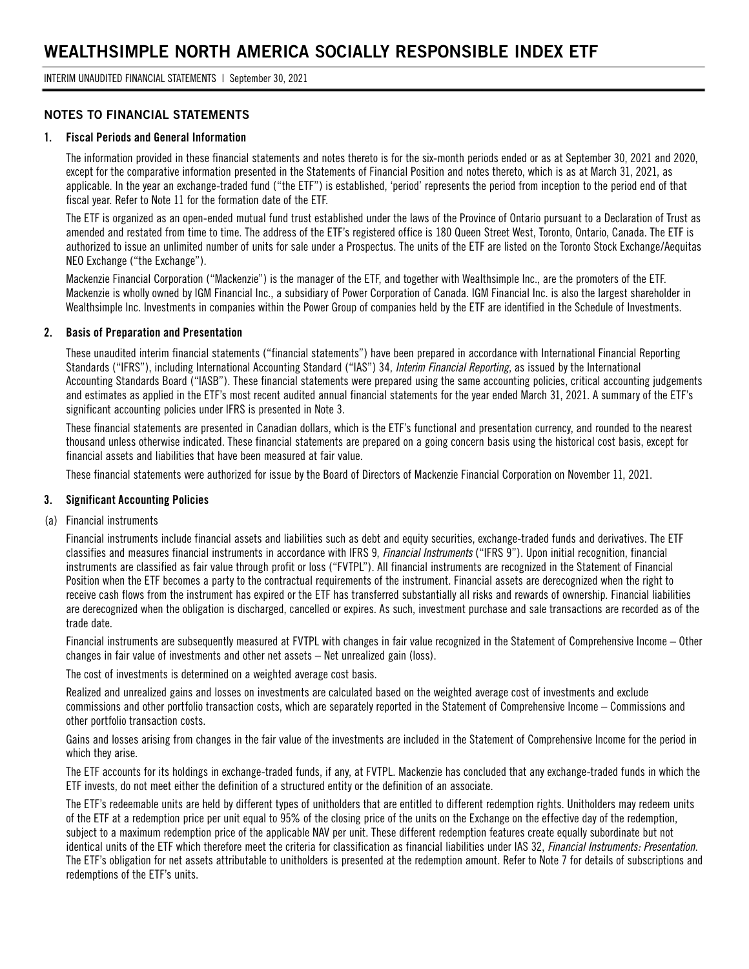INTERIM UNAUDITED FINANCIAL STATEMENTS | September 30, 2021

#### **NOTES TO FINANCIAL STATEMENTS**

#### **1. Fiscal Periods and General Information**

The information provided in these financial statements and notes thereto is for the six-month periods ended or as at September 30, 2021 and 2020, except for the comparative information presented in the Statements of Financial Position and notes thereto, which is as at March 31, 2021, as applicable. In the year an exchange-traded fund ("the ETF") is established, 'period' represents the period from inception to the period end of that fiscal year. Refer to Note 11 for the formation date of the ETF.

The ETF is organized as an open-ended mutual fund trust established under the laws of the Province of Ontario pursuant to a Declaration of Trust as amended and restated from time to time. The address of the ETF's registered office is 180 Queen Street West, Toronto, Ontario, Canada. The ETF is authorized to issue an unlimited number of units for sale under a Prospectus. The units of the ETF are listed on the Toronto Stock Exchange/Aequitas NEO Exchange ("the Exchange").

Mackenzie Financial Corporation ("Mackenzie") is the manager of the ETF, and together with Wealthsimple Inc., are the promoters of the ETF. Mackenzie is wholly owned by IGM Financial Inc., a subsidiary of Power Corporation of Canada. IGM Financial Inc. is also the largest shareholder in Wealthsimple Inc. Investments in companies within the Power Group of companies held by the ETF are identified in the Schedule of Investments.

#### **2. Basis of Preparation and Presentation**

These unaudited interim financial statements ("financial statements") have been prepared in accordance with International Financial Reporting Standards ("IFRS"), including International Accounting Standard ("IAS") 34, *Interim Financial Reporting*, as issued by the International Accounting Standards Board ("IASB"). These financial statements were prepared using the same accounting policies, critical accounting judgements and estimates as applied in the ETF's most recent audited annual financial statements for the year ended March 31, 2021. A summary of the ETF's significant accounting policies under IFRS is presented in Note 3.

These financial statements are presented in Canadian dollars, which is the ETF's functional and presentation currency, and rounded to the nearest thousand unless otherwise indicated. These financial statements are prepared on a going concern basis using the historical cost basis, except for financial assets and liabilities that have been measured at fair value.

These financial statements were authorized for issue by the Board of Directors of Mackenzie Financial Corporation on November 11, 2021.

#### **3. Significant Accounting Policies**

(a) Financial instruments

Financial instruments include financial assets and liabilities such as debt and equity securities, exchange-traded funds and derivatives. The ETF classifies and measures financial instruments in accordance with IFRS 9, *Financial Instruments* ("IFRS 9"). Upon initial recognition, financial instruments are classified as fair value through profit or loss ("FVTPL"). All financial instruments are recognized in the Statement of Financial Position when the ETF becomes a party to the contractual requirements of the instrument. Financial assets are derecognized when the right to receive cash flows from the instrument has expired or the ETF has transferred substantially all risks and rewards of ownership. Financial liabilities are derecognized when the obligation is discharged, cancelled or expires. As such, investment purchase and sale transactions are recorded as of the trade date.

Financial instruments are subsequently measured at FVTPL with changes in fair value recognized in the Statement of Comprehensive Income – Other changes in fair value of investments and other net assets – Net unrealized gain (loss).

The cost of investments is determined on a weighted average cost basis.

Realized and unrealized gains and losses on investments are calculated based on the weighted average cost of investments and exclude commissions and other portfolio transaction costs, which are separately reported in the Statement of Comprehensive Income – Commissions and other portfolio transaction costs.

Gains and losses arising from changes in the fair value of the investments are included in the Statement of Comprehensive Income for the period in which they arise.

The ETF accounts for its holdings in exchange-traded funds, if any, at FVTPL. Mackenzie has concluded that any exchange-traded funds in which the ETF invests, do not meet either the definition of a structured entity or the definition of an associate.

The ETF's redeemable units are held by different types of unitholders that are entitled to different redemption rights. Unitholders may redeem units of the ETF at a redemption price per unit equal to 95% of the closing price of the units on the Exchange on the effective day of the redemption, subject to a maximum redemption price of the applicable NAV per unit. These different redemption features create equally subordinate but not identical units of the ETF which therefore meet the criteria for classification as financial liabilities under IAS 32, *Financial Instruments: Presentation*. The ETF's obligation for net assets attributable to unitholders is presented at the redemption amount. Refer to Note 7 for details of subscriptions and redemptions of the ETF's units.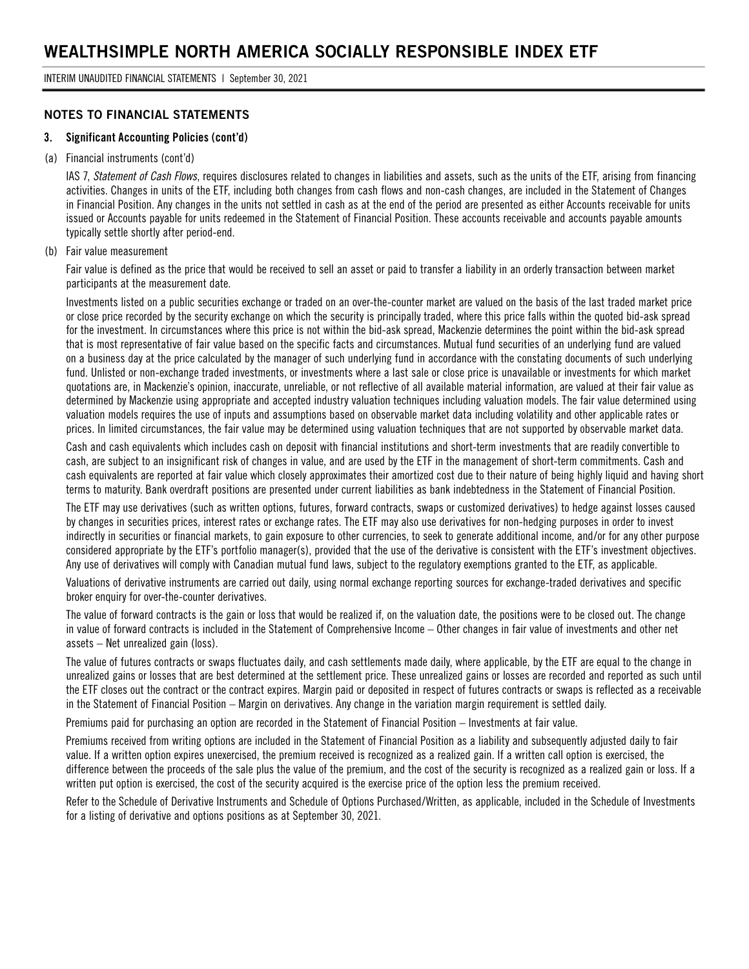#### **NOTES TO FINANCIAL STATEMENTS**

#### **3. Significant Accounting Policies (cont'd)**

#### (a) Financial instruments (cont'd)

IAS 7, *Statement of Cash Flows*, requires disclosures related to changes in liabilities and assets, such as the units of the ETF, arising from financing activities. Changes in units of the ETF, including both changes from cash flows and non-cash changes, are included in the Statement of Changes in Financial Position. Any changes in the units not settled in cash as at the end of the period are presented as either Accounts receivable for units issued or Accounts payable for units redeemed in the Statement of Financial Position. These accounts receivable and accounts payable amounts typically settle shortly after period-end.

#### (b) Fair value measurement

Fair value is defined as the price that would be received to sell an asset or paid to transfer a liability in an orderly transaction between market participants at the measurement date.

Investments listed on a public securities exchange or traded on an over-the-counter market are valued on the basis of the last traded market price or close price recorded by the security exchange on which the security is principally traded, where this price falls within the quoted bid-ask spread for the investment. In circumstances where this price is not within the bid-ask spread, Mackenzie determines the point within the bid-ask spread that is most representative of fair value based on the specific facts and circumstances. Mutual fund securities of an underlying fund are valued on a business day at the price calculated by the manager of such underlying fund in accordance with the constating documents of such underlying fund. Unlisted or non-exchange traded investments, or investments where a last sale or close price is unavailable or investments for which market quotations are, in Mackenzie's opinion, inaccurate, unreliable, or not reflective of all available material information, are valued at their fair value as determined by Mackenzie using appropriate and accepted industry valuation techniques including valuation models. The fair value determined using valuation models requires the use of inputs and assumptions based on observable market data including volatility and other applicable rates or prices. In limited circumstances, the fair value may be determined using valuation techniques that are not supported by observable market data.

Cash and cash equivalents which includes cash on deposit with financial institutions and short-term investments that are readily convertible to cash, are subject to an insignificant risk of changes in value, and are used by the ETF in the management of short-term commitments. Cash and cash equivalents are reported at fair value which closely approximates their amortized cost due to their nature of being highly liquid and having short terms to maturity. Bank overdraft positions are presented under current liabilities as bank indebtedness in the Statement of Financial Position.

The ETF may use derivatives (such as written options, futures, forward contracts, swaps or customized derivatives) to hedge against losses caused by changes in securities prices, interest rates or exchange rates. The ETF may also use derivatives for non-hedging purposes in order to invest indirectly in securities or financial markets, to gain exposure to other currencies, to seek to generate additional income, and/or for any other purpose considered appropriate by the ETF's portfolio manager(s), provided that the use of the derivative is consistent with the ETF's investment objectives. Any use of derivatives will comply with Canadian mutual fund laws, subject to the regulatory exemptions granted to the ETF, as applicable.

Valuations of derivative instruments are carried out daily, using normal exchange reporting sources for exchange-traded derivatives and specific broker enquiry for over-the-counter derivatives.

The value of forward contracts is the gain or loss that would be realized if, on the valuation date, the positions were to be closed out. The change in value of forward contracts is included in the Statement of Comprehensive Income – Other changes in fair value of investments and other net assets – Net unrealized gain (loss).

The value of futures contracts or swaps fluctuates daily, and cash settlements made daily, where applicable, by the ETF are equal to the change in unrealized gains or losses that are best determined at the settlement price. These unrealized gains or losses are recorded and reported as such until the ETF closes out the contract or the contract expires. Margin paid or deposited in respect of futures contracts or swaps is reflected as a receivable in the Statement of Financial Position – Margin on derivatives. Any change in the variation margin requirement is settled daily.

Premiums paid for purchasing an option are recorded in the Statement of Financial Position – Investments at fair value.

Premiums received from writing options are included in the Statement of Financial Position as a liability and subsequently adjusted daily to fair value. If a written option expires unexercised, the premium received is recognized as a realized gain. If a written call option is exercised, the difference between the proceeds of the sale plus the value of the premium, and the cost of the security is recognized as a realized gain or loss. If a written put option is exercised, the cost of the security acquired is the exercise price of the option less the premium received.

Refer to the Schedule of Derivative Instruments and Schedule of Options Purchased/Written, as applicable, included in the Schedule of Investments for a listing of derivative and options positions as at September 30, 2021.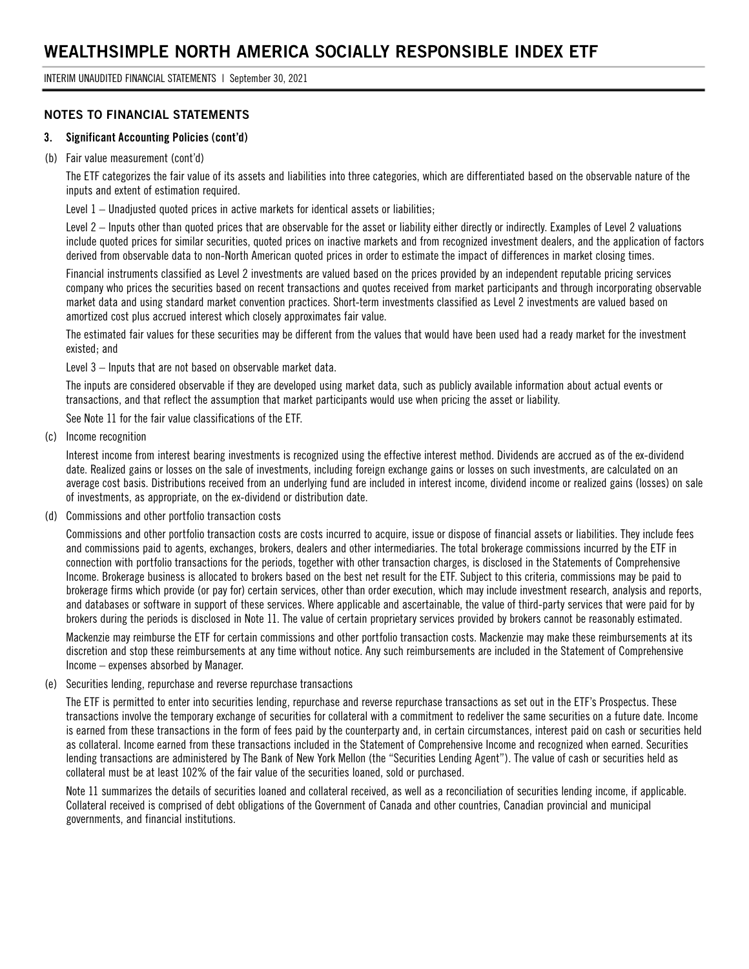INTERIM UNAUDITED FINANCIAL STATEMENTS | September 30, 2021

#### **NOTES TO FINANCIAL STATEMENTS**

#### **3. Significant Accounting Policies (cont'd)**

#### (b) Fair value measurement (cont'd)

The ETF categorizes the fair value of its assets and liabilities into three categories, which are differentiated based on the observable nature of the inputs and extent of estimation required.

Level 1 – Unadjusted quoted prices in active markets for identical assets or liabilities;

Level 2 – Inputs other than quoted prices that are observable for the asset or liability either directly or indirectly. Examples of Level 2 valuations include quoted prices for similar securities, quoted prices on inactive markets and from recognized investment dealers, and the application of factors derived from observable data to non-North American quoted prices in order to estimate the impact of differences in market closing times.

Financial instruments classified as Level 2 investments are valued based on the prices provided by an independent reputable pricing services company who prices the securities based on recent transactions and quotes received from market participants and through incorporating observable market data and using standard market convention practices. Short-term investments classified as Level 2 investments are valued based on amortized cost plus accrued interest which closely approximates fair value.

The estimated fair values for these securities may be different from the values that would have been used had a ready market for the investment existed; and

Level 3 – Inputs that are not based on observable market data.

The inputs are considered observable if they are developed using market data, such as publicly available information about actual events or transactions, and that reflect the assumption that market participants would use when pricing the asset or liability.

See Note 11 for the fair value classifications of the ETF.

(c) Income recognition

Interest income from interest bearing investments is recognized using the effective interest method. Dividends are accrued as of the ex-dividend date. Realized gains or losses on the sale of investments, including foreign exchange gains or losses on such investments, are calculated on an average cost basis. Distributions received from an underlying fund are included in interest income, dividend income or realized gains (losses) on sale of investments, as appropriate, on the ex-dividend or distribution date.

(d) Commissions and other portfolio transaction costs

Commissions and other portfolio transaction costs are costs incurred to acquire, issue or dispose of financial assets or liabilities. They include fees and commissions paid to agents, exchanges, brokers, dealers and other intermediaries. The total brokerage commissions incurred by the ETF in connection with portfolio transactions for the periods, together with other transaction charges, is disclosed in the Statements of Comprehensive Income. Brokerage business is allocated to brokers based on the best net result for the ETF. Subject to this criteria, commissions may be paid to brokerage firms which provide (or pay for) certain services, other than order execution, which may include investment research, analysis and reports, and databases or software in support of these services. Where applicable and ascertainable, the value of third-party services that were paid for by brokers during the periods is disclosed in Note 11. The value of certain proprietary services provided by brokers cannot be reasonably estimated.

Mackenzie may reimburse the ETF for certain commissions and other portfolio transaction costs. Mackenzie may make these reimbursements at its discretion and stop these reimbursements at any time without notice. Any such reimbursements are included in the Statement of Comprehensive Income – expenses absorbed by Manager.

#### (e) Securities lending, repurchase and reverse repurchase transactions

The ETF is permitted to enter into securities lending, repurchase and reverse repurchase transactions as set out in the ETF's Prospectus. These transactions involve the temporary exchange of securities for collateral with a commitment to redeliver the same securities on a future date. Income is earned from these transactions in the form of fees paid by the counterparty and, in certain circumstances, interest paid on cash or securities held as collateral. Income earned from these transactions included in the Statement of Comprehensive Income and recognized when earned. Securities lending transactions are administered by The Bank of New York Mellon (the "Securities Lending Agent"). The value of cash or securities held as collateral must be at least 102% of the fair value of the securities loaned, sold or purchased.

Note 11 summarizes the details of securities loaned and collateral received, as well as a reconciliation of securities lending income, if applicable. Collateral received is comprised of debt obligations of the Government of Canada and other countries, Canadian provincial and municipal governments, and financial institutions.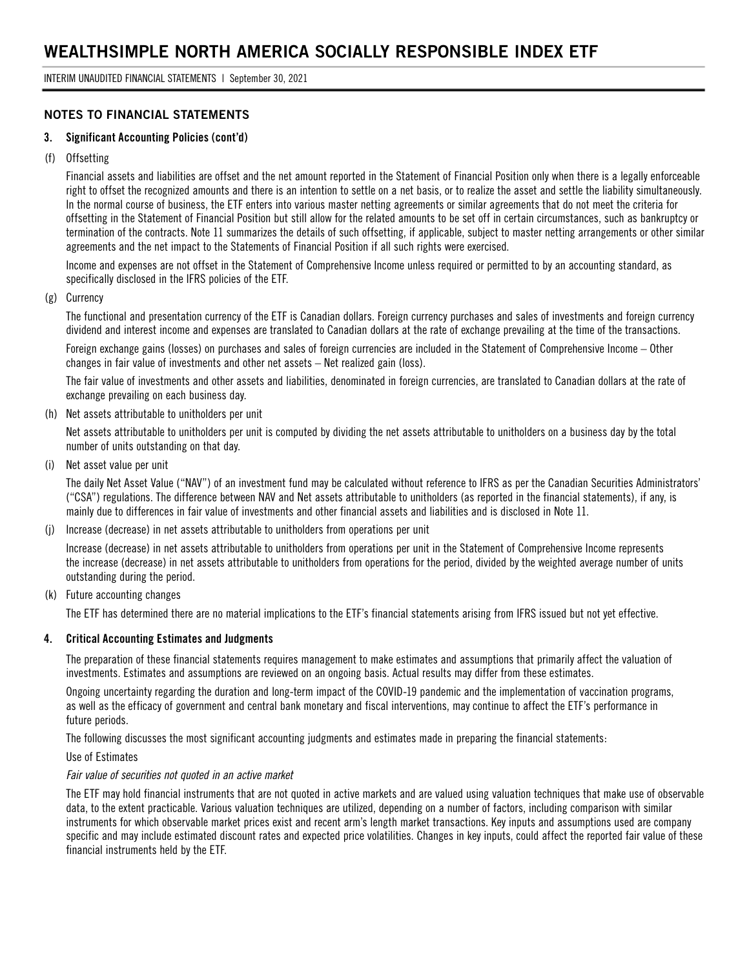### **NOTES TO FINANCIAL STATEMENTS**

#### **3. Significant Accounting Policies (cont'd)**

#### (f) Offsetting

Financial assets and liabilities are offset and the net amount reported in the Statement of Financial Position only when there is a legally enforceable right to offset the recognized amounts and there is an intention to settle on a net basis, or to realize the asset and settle the liability simultaneously. In the normal course of business, the ETF enters into various master netting agreements or similar agreements that do not meet the criteria for offsetting in the Statement of Financial Position but still allow for the related amounts to be set off in certain circumstances, such as bankruptcy or termination of the contracts. Note 11 summarizes the details of such offsetting, if applicable, subject to master netting arrangements or other similar agreements and the net impact to the Statements of Financial Position if all such rights were exercised.

Income and expenses are not offset in the Statement of Comprehensive Income unless required or permitted to by an accounting standard, as specifically disclosed in the IFRS policies of the ETF.

#### (g) Currency

The functional and presentation currency of the ETF is Canadian dollars. Foreign currency purchases and sales of investments and foreign currency dividend and interest income and expenses are translated to Canadian dollars at the rate of exchange prevailing at the time of the transactions.

Foreign exchange gains (losses) on purchases and sales of foreign currencies are included in the Statement of Comprehensive Income – Other changes in fair value of investments and other net assets – Net realized gain (loss).

The fair value of investments and other assets and liabilities, denominated in foreign currencies, are translated to Canadian dollars at the rate of exchange prevailing on each business day.

(h) Net assets attributable to unitholders per unit

Net assets attributable to unitholders per unit is computed by dividing the net assets attributable to unitholders on a business day by the total number of units outstanding on that day.

(i) Net asset value per unit

The daily Net Asset Value ("NAV") of an investment fund may be calculated without reference to IFRS as per the Canadian Securities Administrators' ("CSA") regulations. The difference between NAV and Net assets attributable to unitholders (as reported in the financial statements), if any, is mainly due to differences in fair value of investments and other financial assets and liabilities and is disclosed in Note 11.

(j) Increase (decrease) in net assets attributable to unitholders from operations per unit

Increase (decrease) in net assets attributable to unitholders from operations per unit in the Statement of Comprehensive Income represents the increase (decrease) in net assets attributable to unitholders from operations for the period, divided by the weighted average number of units outstanding during the period.

(k) Future accounting changes

The ETF has determined there are no material implications to the ETF's financial statements arising from IFRS issued but not yet effective.

#### **4. Critical Accounting Estimates and Judgments**

The preparation of these financial statements requires management to make estimates and assumptions that primarily affect the valuation of investments. Estimates and assumptions are reviewed on an ongoing basis. Actual results may differ from these estimates.

Ongoing uncertainty regarding the duration and long-term impact of the COVID-19 pandemic and the implementation of vaccination programs, as well as the efficacy of government and central bank monetary and fiscal interventions, may continue to affect the ETF's performance in future periods.

The following discusses the most significant accounting judgments and estimates made in preparing the financial statements:

Use of Estimates

#### *Fair value of securities not quoted in an active market*

The ETF may hold financial instruments that are not quoted in active markets and are valued using valuation techniques that make use of observable data, to the extent practicable. Various valuation techniques are utilized, depending on a number of factors, including comparison with similar instruments for which observable market prices exist and recent arm's length market transactions. Key inputs and assumptions used are company specific and may include estimated discount rates and expected price volatilities. Changes in key inputs, could affect the reported fair value of these financial instruments held by the ETF.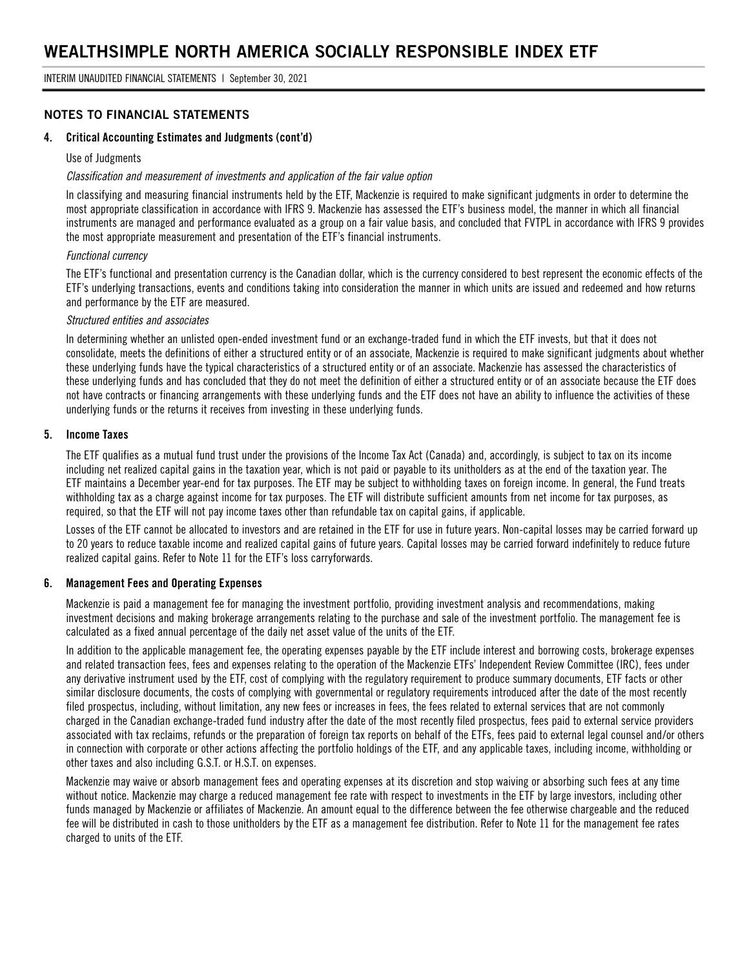### **NOTES TO FINANCIAL STATEMENTS**

#### **4. Critical Accounting Estimates and Judgments (cont'd)**

#### Use of Judgments

#### *Classification and measurement of investments and application of the fair value option*

In classifying and measuring financial instruments held by the ETF, Mackenzie is required to make significant judgments in order to determine the most appropriate classification in accordance with IFRS 9. Mackenzie has assessed the ETF's business model, the manner in which all financial instruments are managed and performance evaluated as a group on a fair value basis, and concluded that FVTPL in accordance with IFRS 9 provides the most appropriate measurement and presentation of the ETF's financial instruments.

#### *Functional currency*

The ETF's functional and presentation currency is the Canadian dollar, which is the currency considered to best represent the economic effects of the ETF's underlying transactions, events and conditions taking into consideration the manner in which units are issued and redeemed and how returns and performance by the ETF are measured.

#### *Structured entities and associates*

In determining whether an unlisted open-ended investment fund or an exchange-traded fund in which the ETF invests, but that it does not consolidate, meets the definitions of either a structured entity or of an associate, Mackenzie is required to make significant judgments about whether these underlying funds have the typical characteristics of a structured entity or of an associate. Mackenzie has assessed the characteristics of these underlying funds and has concluded that they do not meet the definition of either a structured entity or of an associate because the ETF does not have contracts or financing arrangements with these underlying funds and the ETF does not have an ability to influence the activities of these underlying funds or the returns it receives from investing in these underlying funds.

#### **5. Income Taxes**

The ETF qualifies as a mutual fund trust under the provisions of the Income Tax Act (Canada) and, accordingly, is subject to tax on its income including net realized capital gains in the taxation year, which is not paid or payable to its unitholders as at the end of the taxation year. The ETF maintains a December year-end for tax purposes. The ETF may be subject to withholding taxes on foreign income. In general, the Fund treats withholding tax as a charge against income for tax purposes. The ETF will distribute sufficient amounts from net income for tax purposes, as required, so that the ETF will not pay income taxes other than refundable tax on capital gains, if applicable.

Losses of the ETF cannot be allocated to investors and are retained in the ETF for use in future years. Non-capital losses may be carried forward up to 20 years to reduce taxable income and realized capital gains of future years. Capital losses may be carried forward indefinitely to reduce future realized capital gains. Refer to Note 11 for the ETF's loss carryforwards.

#### **6. Management Fees and Operating Expenses**

Mackenzie is paid a management fee for managing the investment portfolio, providing investment analysis and recommendations, making investment decisions and making brokerage arrangements relating to the purchase and sale of the investment portfolio. The management fee is calculated as a fixed annual percentage of the daily net asset value of the units of the ETF.

In addition to the applicable management fee, the operating expenses payable by the ETF include interest and borrowing costs, brokerage expenses and related transaction fees, fees and expenses relating to the operation of the Mackenzie ETFs' Independent Review Committee (IRC), fees under any derivative instrument used by the ETF, cost of complying with the regulatory requirement to produce summary documents, ETF facts or other similar disclosure documents, the costs of complying with governmental or regulatory requirements introduced after the date of the most recently filed prospectus, including, without limitation, any new fees or increases in fees, the fees related to external services that are not commonly charged in the Canadian exchange-traded fund industry after the date of the most recently filed prospectus, fees paid to external service providers associated with tax reclaims, refunds or the preparation of foreign tax reports on behalf of the ETFs, fees paid to external legal counsel and/or others in connection with corporate or other actions affecting the portfolio holdings of the ETF, and any applicable taxes, including income, withholding or other taxes and also including G.S.T. or H.S.T. on expenses.

Mackenzie may waive or absorb management fees and operating expenses at its discretion and stop waiving or absorbing such fees at any time without notice. Mackenzie may charge a reduced management fee rate with respect to investments in the ETF by large investors, including other funds managed by Mackenzie or affiliates of Mackenzie. An amount equal to the difference between the fee otherwise chargeable and the reduced fee will be distributed in cash to those unitholders by the ETF as a management fee distribution. Refer to Note 11 for the management fee rates charged to units of the ETF.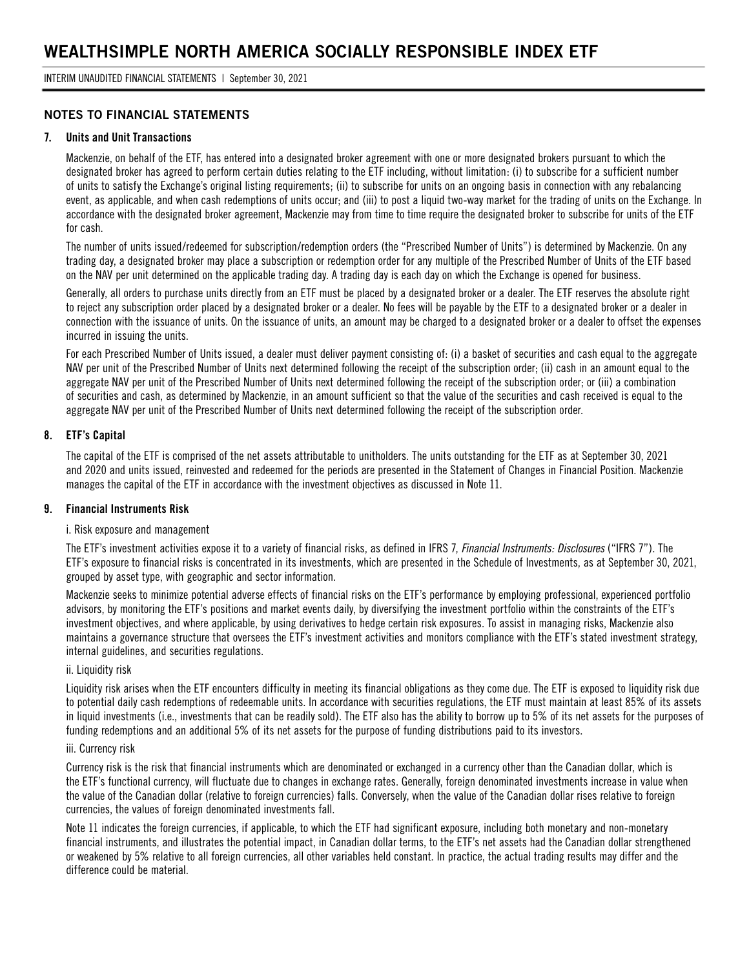INTERIM UNAUDITED FINANCIAL STATEMENTS | September 30, 2021

#### **NOTES TO FINANCIAL STATEMENTS**

#### **7. Units and Unit Transactions**

Mackenzie, on behalf of the ETF, has entered into a designated broker agreement with one or more designated brokers pursuant to which the designated broker has agreed to perform certain duties relating to the ETF including, without limitation: (i) to subscribe for a sufficient number of units to satisfy the Exchange's original listing requirements; (ii) to subscribe for units on an ongoing basis in connection with any rebalancing event, as applicable, and when cash redemptions of units occur; and (iii) to post a liquid two-way market for the trading of units on the Exchange. In accordance with the designated broker agreement, Mackenzie may from time to time require the designated broker to subscribe for units of the ETF for cash.

The number of units issued/redeemed for subscription/redemption orders (the "Prescribed Number of Units") is determined by Mackenzie. On any trading day, a designated broker may place a subscription or redemption order for any multiple of the Prescribed Number of Units of the ETF based on the NAV per unit determined on the applicable trading day. A trading day is each day on which the Exchange is opened for business.

Generally, all orders to purchase units directly from an ETF must be placed by a designated broker or a dealer. The ETF reserves the absolute right to reject any subscription order placed by a designated broker or a dealer. No fees will be payable by the ETF to a designated broker or a dealer in connection with the issuance of units. On the issuance of units, an amount may be charged to a designated broker or a dealer to offset the expenses incurred in issuing the units.

For each Prescribed Number of Units issued, a dealer must deliver payment consisting of: (i) a basket of securities and cash equal to the aggregate NAV per unit of the Prescribed Number of Units next determined following the receipt of the subscription order; (ii) cash in an amount equal to the aggregate NAV per unit of the Prescribed Number of Units next determined following the receipt of the subscription order; or (iii) a combination of securities and cash, as determined by Mackenzie, in an amount sufficient so that the value of the securities and cash received is equal to the aggregate NAV per unit of the Prescribed Number of Units next determined following the receipt of the subscription order.

#### **8. ETF's Capital**

The capital of the ETF is comprised of the net assets attributable to unitholders. The units outstanding for the ETF as at September 30, 2021 and 2020 and units issued, reinvested and redeemed for the periods are presented in the Statement of Changes in Financial Position. Mackenzie manages the capital of the ETF in accordance with the investment objectives as discussed in Note 11.

#### **9. Financial Instruments Risk**

#### i. Risk exposure and management

The ETF's investment activities expose it to a variety of financial risks, as defined in IFRS 7, *Financial Instruments: Disclosures* ("IFRS 7"). The ETF's exposure to financial risks is concentrated in its investments, which are presented in the Schedule of Investments, as at September 30, 2021, grouped by asset type, with geographic and sector information.

Mackenzie seeks to minimize potential adverse effects of financial risks on the ETF's performance by employing professional, experienced portfolio advisors, by monitoring the ETF's positions and market events daily, by diversifying the investment portfolio within the constraints of the ETF's investment objectives, and where applicable, by using derivatives to hedge certain risk exposures. To assist in managing risks, Mackenzie also maintains a governance structure that oversees the ETF's investment activities and monitors compliance with the ETF's stated investment strategy, internal guidelines, and securities regulations.

#### ii. Liquidity risk

Liquidity risk arises when the ETF encounters difficulty in meeting its financial obligations as they come due. The ETF is exposed to liquidity risk due to potential daily cash redemptions of redeemable units. In accordance with securities regulations, the ETF must maintain at least 85% of its assets in liquid investments (i.e., investments that can be readily sold). The ETF also has the ability to borrow up to 5% of its net assets for the purposes of funding redemptions and an additional 5% of its net assets for the purpose of funding distributions paid to its investors.

#### iii. Currency risk

Currency risk is the risk that financial instruments which are denominated or exchanged in a currency other than the Canadian dollar, which is the ETF's functional currency, will fluctuate due to changes in exchange rates. Generally, foreign denominated investments increase in value when the value of the Canadian dollar (relative to foreign currencies) falls. Conversely, when the value of the Canadian dollar rises relative to foreign currencies, the values of foreign denominated investments fall.

Note 11 indicates the foreign currencies, if applicable, to which the ETF had significant exposure, including both monetary and non-monetary financial instruments, and illustrates the potential impact, in Canadian dollar terms, to the ETF's net assets had the Canadian dollar strengthened or weakened by 5% relative to all foreign currencies, all other variables held constant. In practice, the actual trading results may differ and the difference could be material.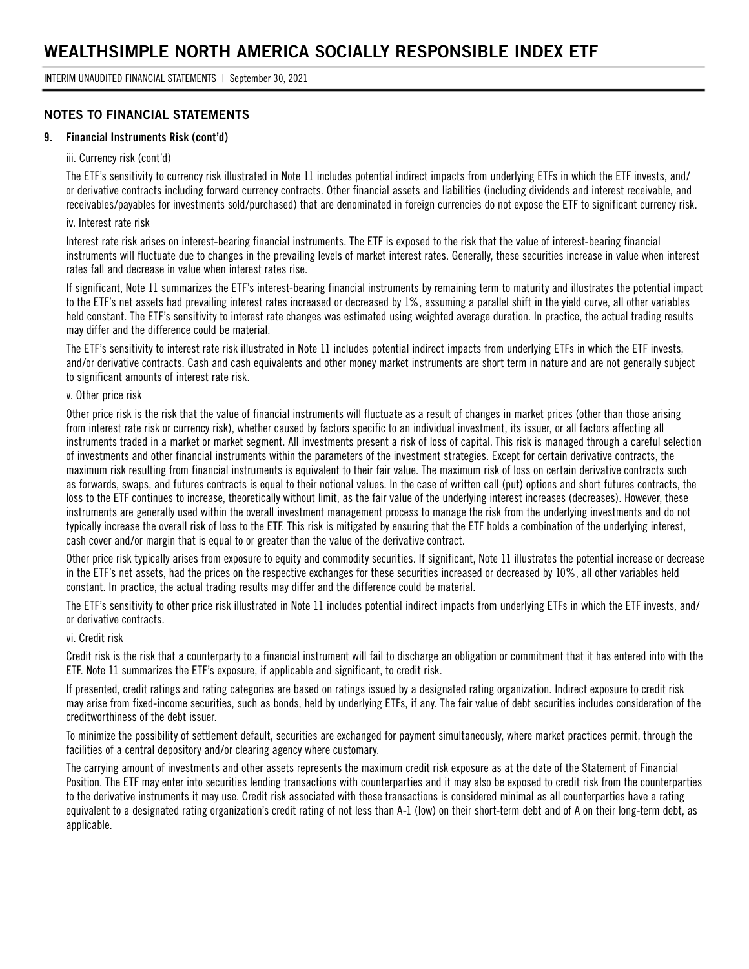#### **NOTES TO FINANCIAL STATEMENTS**

#### **9. Financial Instruments Risk (cont'd)**

#### iii. Currency risk (cont'd)

The ETF's sensitivity to currency risk illustrated in Note 11 includes potential indirect impacts from underlying ETFs in which the ETF invests, and/ or derivative contracts including forward currency contracts. Other financial assets and liabilities (including dividends and interest receivable, and receivables/payables for investments sold/purchased) that are denominated in foreign currencies do not expose the ETF to significant currency risk.

#### iv. Interest rate risk

Interest rate risk arises on interest-bearing financial instruments. The ETF is exposed to the risk that the value of interest-bearing financial instruments will fluctuate due to changes in the prevailing levels of market interest rates. Generally, these securities increase in value when interest rates fall and decrease in value when interest rates rise.

If significant, Note 11 summarizes the ETF's interest-bearing financial instruments by remaining term to maturity and illustrates the potential impact to the ETF's net assets had prevailing interest rates increased or decreased by 1%, assuming a parallel shift in the yield curve, all other variables held constant. The ETF's sensitivity to interest rate changes was estimated using weighted average duration. In practice, the actual trading results may differ and the difference could be material.

The ETF's sensitivity to interest rate risk illustrated in Note 11 includes potential indirect impacts from underlying ETFs in which the ETF invests, and/or derivative contracts. Cash and cash equivalents and other money market instruments are short term in nature and are not generally subject to significant amounts of interest rate risk.

#### v. Other price risk

Other price risk is the risk that the value of financial instruments will fluctuate as a result of changes in market prices (other than those arising from interest rate risk or currency risk), whether caused by factors specific to an individual investment, its issuer, or all factors affecting all instruments traded in a market or market segment. All investments present a risk of loss of capital. This risk is managed through a careful selection of investments and other financial instruments within the parameters of the investment strategies. Except for certain derivative contracts, the maximum risk resulting from financial instruments is equivalent to their fair value. The maximum risk of loss on certain derivative contracts such as forwards, swaps, and futures contracts is equal to their notional values. In the case of written call (put) options and short futures contracts, the loss to the ETF continues to increase, theoretically without limit, as the fair value of the underlying interest increases (decreases). However, these instruments are generally used within the overall investment management process to manage the risk from the underlying investments and do not typically increase the overall risk of loss to the ETF. This risk is mitigated by ensuring that the ETF holds a combination of the underlying interest, cash cover and/or margin that is equal to or greater than the value of the derivative contract.

Other price risk typically arises from exposure to equity and commodity securities. If significant, Note 11 illustrates the potential increase or decrease in the ETF's net assets, had the prices on the respective exchanges for these securities increased or decreased by 10%, all other variables held constant. In practice, the actual trading results may differ and the difference could be material.

The ETF's sensitivity to other price risk illustrated in Note 11 includes potential indirect impacts from underlying ETFs in which the ETF invests, and/ or derivative contracts.

#### vi. Credit risk

Credit risk is the risk that a counterparty to a financial instrument will fail to discharge an obligation or commitment that it has entered into with the ETF. Note 11 summarizes the ETF's exposure, if applicable and significant, to credit risk.

If presented, credit ratings and rating categories are based on ratings issued by a designated rating organization. Indirect exposure to credit risk may arise from fixed-income securities, such as bonds, held by underlying ETFs, if any. The fair value of debt securities includes consideration of the creditworthiness of the debt issuer.

To minimize the possibility of settlement default, securities are exchanged for payment simultaneously, where market practices permit, through the facilities of a central depository and/or clearing agency where customary.

The carrying amount of investments and other assets represents the maximum credit risk exposure as at the date of the Statement of Financial Position. The ETF may enter into securities lending transactions with counterparties and it may also be exposed to credit risk from the counterparties to the derivative instruments it may use. Credit risk associated with these transactions is considered minimal as all counterparties have a rating equivalent to a designated rating organization's credit rating of not less than A-1 (low) on their short-term debt and of A on their long-term debt, as applicable.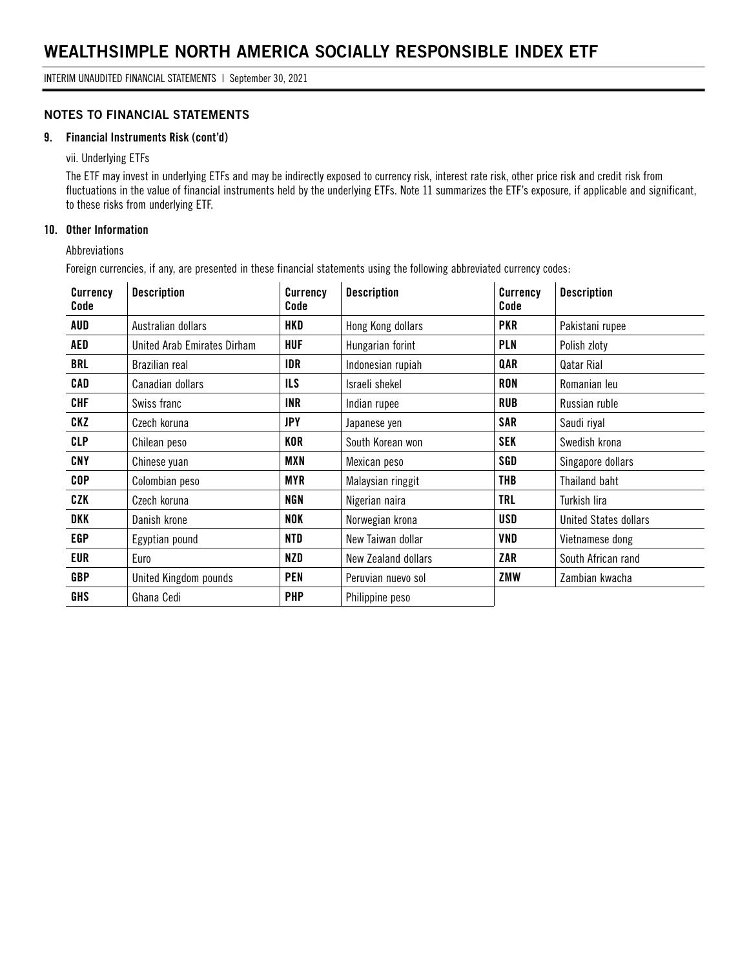#### **NOTES TO FINANCIAL STATEMENTS**

#### **9. Financial Instruments Risk (cont'd)**

vii. Underlying ETFs

The ETF may invest in underlying ETFs and may be indirectly exposed to currency risk, interest rate risk, other price risk and credit risk from fluctuations in the value of financial instruments held by the underlying ETFs. Note 11 summarizes the ETF's exposure, if applicable and significant, to these risks from underlying ETF.

#### **10. Other Information**

Abbreviations

Foreign currencies, if any, are presented in these financial statements using the following abbreviated currency codes:

| <b>Currency</b><br>Code | <b>Description</b>          | <b>Currency</b><br>Code | <b>Description</b>  | <b>Currency</b><br>Code | <b>Description</b>           |
|-------------------------|-----------------------------|-------------------------|---------------------|-------------------------|------------------------------|
| AUD                     | Australian dollars          | HKD                     | Hong Kong dollars   | <b>PKR</b>              | Pakistani rupee              |
| AED                     | United Arab Emirates Dirham | <b>HUF</b>              | Hungarian forint    | PLN                     | Polish zloty                 |
| <b>BRL</b>              | Brazilian real              | IDR                     | Indonesian rupiah   | QAR                     | Qatar Rial                   |
| CAD                     | Canadian dollars            | <b>ILS</b>              | Israeli shekel      | RON                     | Romanian leu                 |
| CHF                     | Swiss franc                 | <b>INR</b>              | Indian rupee        | <b>RUB</b>              | Russian ruble                |
| CKZ                     | Czech koruna                | <b>JPY</b>              | Japanese yen        | <b>SAR</b>              | Saudi riyal                  |
| <b>CLP</b>              | Chilean peso                | KOR                     | South Korean won    | <b>SEK</b>              | Swedish krona                |
| CNY                     | Chinese yuan                | MXN                     | Mexican peso        | SGD                     | Singapore dollars            |
| <b>COP</b>              | Colombian peso              | <b>MYR</b>              | Malaysian ringgit   | THB                     | Thailand baht                |
| CZK                     | Czech koruna                | <b>NGN</b>              | Nigerian naira      | TRL                     | Turkish lira                 |
| DKK                     | Danish krone                | NOK                     | Norwegian krona     | USD                     | <b>United States dollars</b> |
| <b>EGP</b>              | Egyptian pound              | NTD                     | New Taiwan dollar   | VND                     | Vietnamese dong              |
| EUR                     | Euro                        | NZD                     | New Zealand dollars | ZAR                     | South African rand           |
| <b>GBP</b>              | United Kingdom pounds       | <b>PEN</b>              | Peruvian nuevo sol  | ZMW                     | Zambian kwacha               |
| <b>GHS</b>              | Ghana Cedi                  | <b>PHP</b>              | Philippine peso     |                         |                              |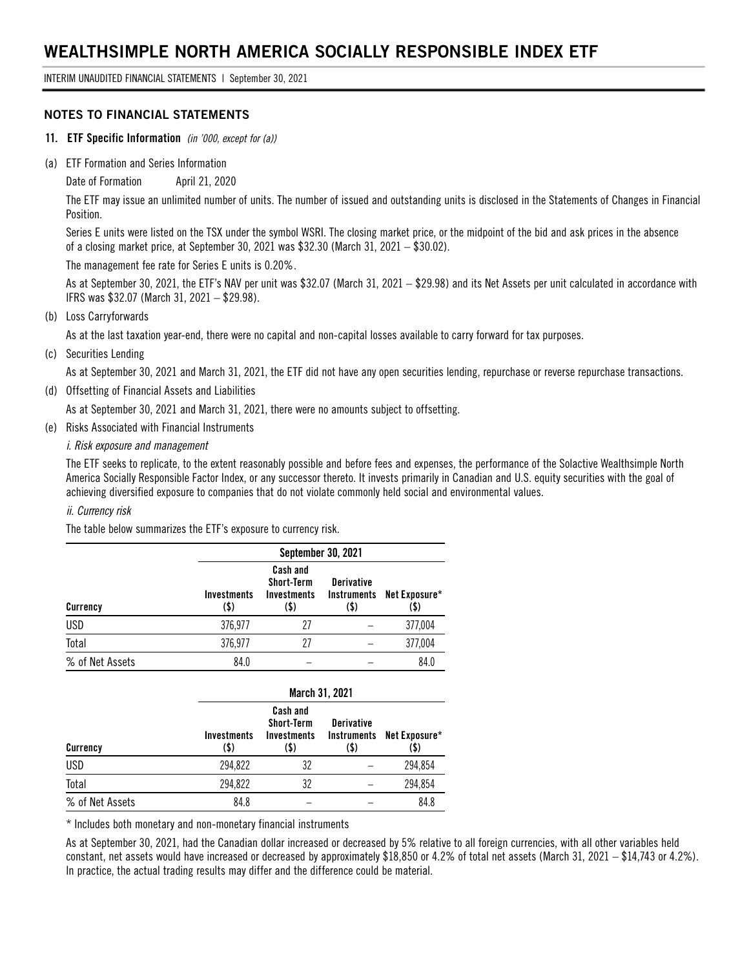INTERIM UNAUDITED FINANCIAL STATEMENTS | September 30, 2021

#### **NOTES TO FINANCIAL STATEMENTS**

- **11. ETF Specific Information** *(in '000, except for (a))*
- (a) ETF Formation and Series Information

Date of Formation April 21, 2020

The ETF may issue an unlimited number of units. The number of issued and outstanding units is disclosed in the Statements of Changes in Financial Position.

Series E units were listed on the TSX under the symbol WSRI. The closing market price, or the midpoint of the bid and ask prices in the absence of a closing market price, at September 30, 2021 was \$32.30 (March 31, 2021 – \$30.02).

The management fee rate for Series E units is 0.20%.

As at September 30, 2021, the ETF's NAV per unit was \$32.07 (March 31, 2021 – \$29.98) and its Net Assets per unit calculated in accordance with IFRS was \$32.07 (March 31, 2021 – \$29.98).

(b) Loss Carryforwards

As at the last taxation year-end, there were no capital and non-capital losses available to carry forward for tax purposes.

(c) Securities Lending

As at September 30, 2021 and March 31, 2021, the ETF did not have any open securities lending, repurchase or reverse repurchase transactions.

(d) Offsetting of Financial Assets and Liabilities

As at September 30, 2021 and March 31, 2021, there were no amounts subject to offsetting.

(e) Risks Associated with Financial Instruments

#### *i. Risk exposure and management*

The ETF seeks to replicate, to the extent reasonably possible and before fees and expenses, the performance of the Solactive Wealthsimple North America Socially Responsible Factor Index, or any successor thereto. It invests primarily in Canadian and U.S. equity securities with the goal of achieving diversified exposure to companies that do not violate commonly held social and environmental values.

#### *ii. Currency risk*

The table below summarizes the ETF's exposure to currency risk.

|                 | September 30, 2021         |                                                             |                                                 |                       |  |  |
|-----------------|----------------------------|-------------------------------------------------------------|-------------------------------------------------|-----------------------|--|--|
| Currency        | <b>Investments</b><br>(\$) | Cash and<br><b>Short-Term</b><br><b>Investments</b><br>(\$) | <b>Derivative</b><br><b>Instruments</b><br>(\$) | Net Exposure*<br>(\$) |  |  |
| <b>USD</b>      | 376,977                    | 27                                                          |                                                 | 377,004               |  |  |
| Total           | 376,977                    | 27                                                          |                                                 | 377,004               |  |  |
| % of Net Assets | 84.0                       |                                                             |                                                 | 84.0                  |  |  |

|                 | March 31, 2021             |                                                             |                                                 |                       |  |  |
|-----------------|----------------------------|-------------------------------------------------------------|-------------------------------------------------|-----------------------|--|--|
| Currency        | <b>Investments</b><br>(\$) | Cash and<br><b>Short-Term</b><br><b>Investments</b><br>(\$) | <b>Derivative</b><br><b>Instruments</b><br>(\$) | Net Exposure*<br>(\$) |  |  |
| <b>USD</b>      | 294,822                    | 32                                                          |                                                 | 294,854               |  |  |
| Total           | 294,822                    | 32                                                          |                                                 | 294,854               |  |  |
| % of Net Assets | 84.8                       |                                                             |                                                 | 84.8                  |  |  |

\* Includes both monetary and non-monetary financial instruments

As at September 30, 2021, had the Canadian dollar increased or decreased by 5% relative to all foreign currencies, with all other variables held constant, net assets would have increased or decreased by approximately \$18,850 or 4.2% of total net assets (March 31, 2021 – \$14,743 or 4.2%). In practice, the actual trading results may differ and the difference could be material.